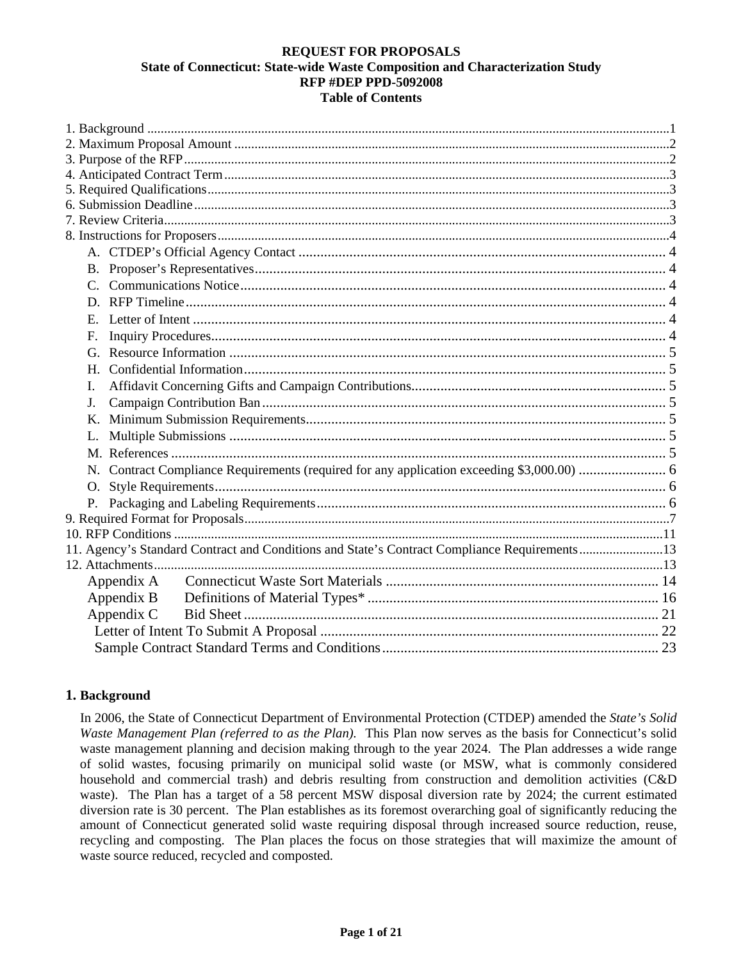### **REQUEST FOR PROPOSALS State of Connecticut: State-wide Waste Composition and Characterization Study RFP #DEP PPD-5092008 Table of Contents**

<span id="page-0-0"></span>

| F.                                                                                           |
|----------------------------------------------------------------------------------------------|
|                                                                                              |
| H                                                                                            |
| L                                                                                            |
| J.                                                                                           |
|                                                                                              |
|                                                                                              |
|                                                                                              |
| N. Contract Compliance Requirements (required for any application exceeding \$3,000.00)  6   |
| O.                                                                                           |
|                                                                                              |
|                                                                                              |
|                                                                                              |
| 11. Agency's Standard Contract and Conditions and State's Contract Compliance Requirements13 |
|                                                                                              |
| Appendix A                                                                                   |
| Appendix B                                                                                   |
| Appendix C                                                                                   |
|                                                                                              |
|                                                                                              |

## **1. Background**

In 2006, the State of Connecticut Department of Environmental Protection (CTDEP) amended the *State's Solid Waste Management Plan (referred to as the Plan).* This Plan now serves as the basis for Connecticut's solid waste management planning and decision making through to the year 2024. The Plan addresses a wide range of solid wastes, focusing primarily on municipal solid waste (or MSW, what is commonly considered household and commercial trash) and debris resulting from construction and demolition activities (C&D waste). The Plan has a target of a 58 percent MSW disposal diversion rate by 2024; the current estimated diversion rate is 30 percent. The Plan establishes as its foremost overarching goal of significantly reducing the amount of Connecticut generated solid waste requiring disposal through increased source reduction, reuse, recycling and composting. The Plan places the focus on those strategies that will maximize the amount of waste source reduced, recycled and composted.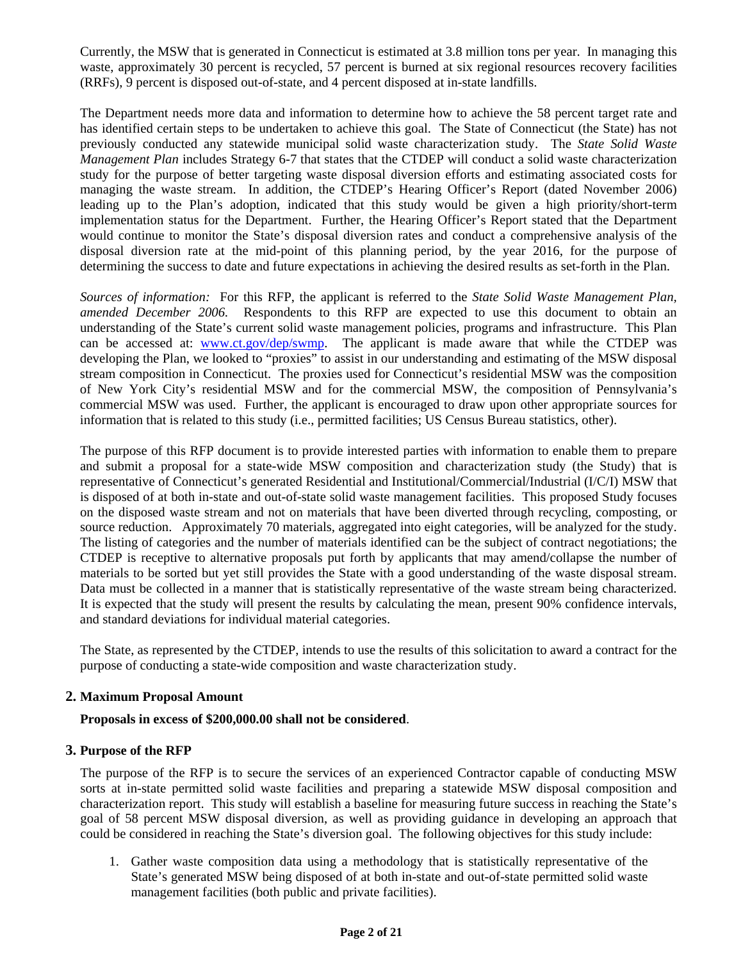<span id="page-1-0"></span>Currently, the MSW that is generated in Connecticut is estimated at 3.8 million tons per year. In managing this waste, approximately 30 percent is recycled, 57 percent is burned at six regional resources recovery facilities (RRFs), 9 percent is disposed out-of-state, and 4 percent disposed at in-state landfills.

The Department needs more data and information to determine how to achieve the 58 percent target rate and has identified certain steps to be undertaken to achieve this goal. The State of Connecticut (the State) has not previously conducted any statewide municipal solid waste characterization study. The *State Solid Waste Management Plan* includes Strategy 6-7 that states that the CTDEP will conduct a solid waste characterization study for the purpose of better targeting waste disposal diversion efforts and estimating associated costs for managing the waste stream. In addition, the CTDEP's Hearing Officer's Report (dated November 2006) leading up to the Plan's adoption, indicated that this study would be given a high priority/short-term implementation status for the Department. Further, the Hearing Officer's Report stated that the Department would continue to monitor the State's disposal diversion rates and conduct a comprehensive analysis of the disposal diversion rate at the mid-point of this planning period, by the year 2016, for the purpose of determining the success to date and future expectations in achieving the desired results as set-forth in the Plan.

*Sources of information:* For this RFP, the applicant is referred to the *State Solid Waste Management Plan, amended December 2006.* Respondents to this RFP are expected to use this document to obtain an understanding of the State's current solid waste management policies, programs and infrastructure. This Plan can be accessed at: [www.ct.gov/dep/swmp](http://www.ct.gov/dep/swmp). The applicant is made aware that while the CTDEP was developing the Plan, we looked to "proxies" to assist in our understanding and estimating of the MSW disposal stream composition in Connecticut. The proxies used for Connecticut's residential MSW was the composition of New York City's residential MSW and for the commercial MSW, the composition of Pennsylvania's commercial MSW was used. Further, the applicant is encouraged to draw upon other appropriate sources for information that is related to this study (i.e., permitted facilities; US Census Bureau statistics, other).

The purpose of this RFP document is to provide interested parties with information to enable them to prepare and submit a proposal for a state-wide MSW composition and characterization study (the Study) that is representative of Connecticut's generated Residential and Institutional/Commercial/Industrial (I/C/I) MSW that is disposed of at both in-state and out-of-state solid waste management facilities. This proposed Study focuses on the disposed waste stream and not on materials that have been diverted through recycling, composting, or source reduction. Approximately 70 materials, aggregated into eight categories, will be analyzed for the study. The listing of categories and the number of materials identified can be the subject of contract negotiations; the CTDEP is receptive to alternative proposals put forth by applicants that may amend/collapse the number of materials to be sorted but yet still provides the State with a good understanding of the waste disposal stream. Data must be collected in a manner that is statistically representative of the waste stream being characterized. It is expected that the study will present the results by calculating the mean, present 90% confidence intervals, and standard deviations for individual material categories.

The State, as represented by the CTDEP, intends to use the results of this solicitation to award a contract for the purpose of conducting a state-wide composition and waste characterization study.

### **2. Maximum Proposal Amount**

### **Proposals in excess of \$200,000.00 shall not be considered**.

### **3. Purpose of the RFP**

The purpose of the RFP is to secure the services of an experienced Contractor capable of conducting MSW sorts at in-state permitted solid waste facilities and preparing a statewide MSW disposal composition and characterization report. This study will establish a baseline for measuring future success in reaching the State's goal of 58 percent MSW disposal diversion, as well as providing guidance in developing an approach that could be considered in reaching the State's diversion goal. The following objectives for this study include:

1. Gather waste composition data using a methodology that is statistically representative of the State's generated MSW being disposed of at both in-state and out-of-state permitted solid waste management facilities (both public and private facilities).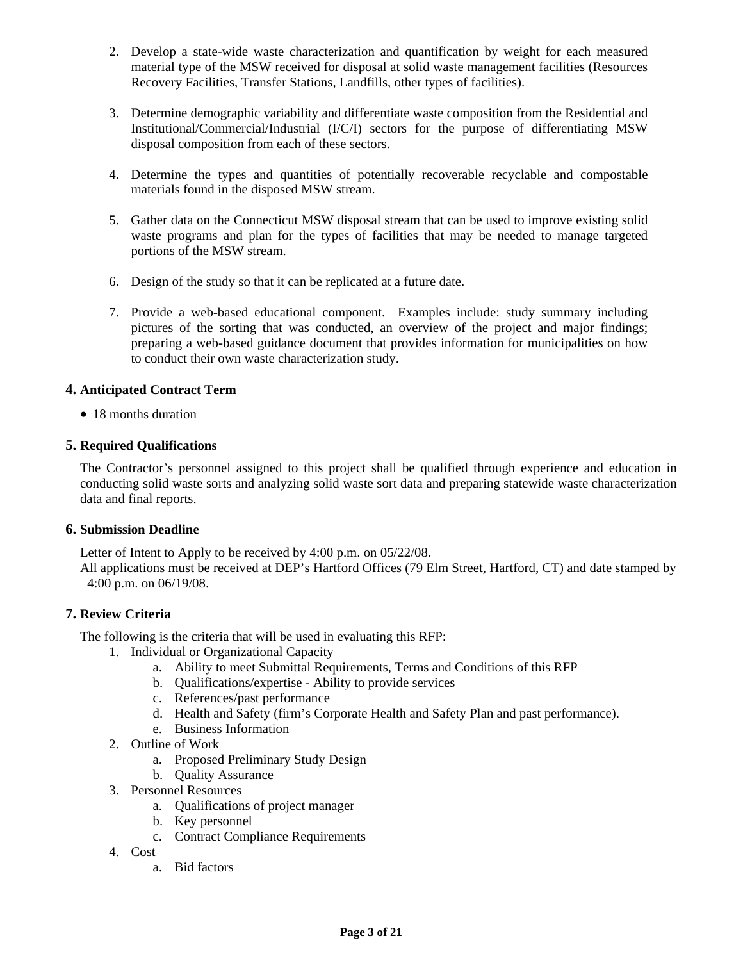- <span id="page-2-0"></span>2. Develop a state-wide waste characterization and quantification by weight for each measured material type of the MSW received for disposal at solid waste management facilities (Resources Recovery Facilities, Transfer Stations, Landfills, other types of facilities).
- 3. Determine demographic variability and differentiate waste composition from the Residential and Institutional/Commercial/Industrial (I/C/I) sectors for the purpose of differentiating MSW disposal composition from each of these sectors.
- 4. Determine the types and quantities of potentially recoverable recyclable and compostable materials found in the disposed MSW stream.
- 5. Gather data on the Connecticut MSW disposal stream that can be used to improve existing solid waste programs and plan for the types of facilities that may be needed to manage targeted portions of the MSW stream.
- 6. Design of the study so that it can be replicated at a future date.
- 7. Provide a web-based educational component. Examples include: study summary including pictures of the sorting that was conducted, an overview of the project and major findings; preparing a web-based guidance document that provides information for municipalities on how to conduct their own waste characterization study.

### **4. Anticipated Contract Term**

• 18 months duration

### **5. Required Qualifications**

The Contractor's personnel assigned to this project shall be qualified through experience and education in conducting solid waste sorts and analyzing solid waste sort data and preparing statewide waste characterization data and final reports.

### **6. Submission Deadline**

Letter of Intent to Apply to be received by 4:00 p.m. on 05/22/08.

All applications must be received at DEP's Hartford Offices (79 Elm Street, Hartford, CT) and date stamped by 4:00 p.m. on 06/19/08.

## **7. Review Criteria**

The following is the criteria that will be used in evaluating this RFP:

- 1. Individual or Organizational Capacity
	- a. Ability to meet Submittal Requirements, Terms and Conditions of this RFP
	- b. Qualifications/expertise Ability to provide services
	- c. References/past performance
	- d. Health and Safety (firm's Corporate Health and Safety Plan and past performance).
	- e. Business Information
- 2. Outline of Work
	- a. Proposed Preliminary Study Design
	- b. Quality Assurance
- 3. Personnel Resources
	- a. Qualifications of project manager
	- b. Key personnel
	- c. Contract Compliance Requirements
- 4. Cost
	- a. Bid factors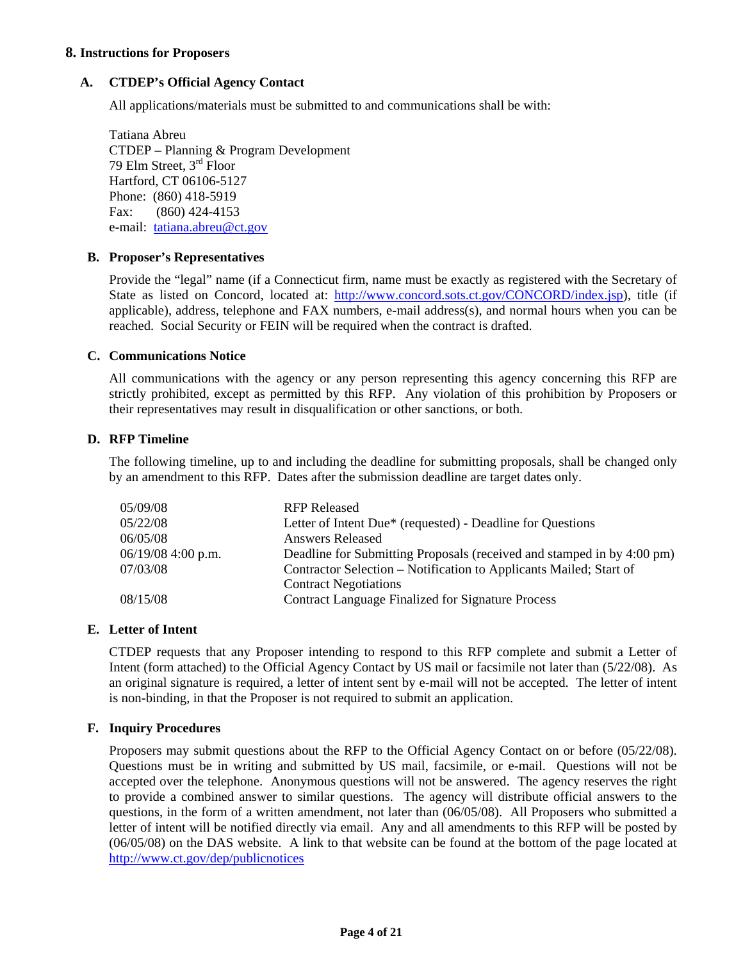### <span id="page-3-0"></span>**8. Instructions for Proposers**

### **A. CTDEP's Official Agency Contact**

All applications/materials must be submitted to and communications shall be with:

Tatiana Abreu CTDEP – Planning & Program Development 79 Elm Street, 3rd Floor Hartford, CT 06106-5127 Phone: (860) 418-5919 Fax: (860) 424-4153 e-mail: [tatiana.abreu@ct.gov](mailto:tatiana.abreu@ct.gov)

### **B. Proposer's Representatives**

Provide the "legal" name (if a Connecticut firm, name must be exactly as registered with the Secretary of State as listed on Concord, located at: [http://www.concord.sots.ct.gov/CONCORD/index.jsp\)](http://www.concord.sots.ct.gov/CONCORD/index.jsp), title (if applicable), address, telephone and FAX numbers, e-mail address(s), and normal hours when you can be reached. Social Security or FEIN will be required when the contract is drafted.

### **C. Communications Notice**

All communications with the agency or any person representing this agency concerning this RFP are strictly prohibited, except as permitted by this RFP. Any violation of this prohibition by Proposers or their representatives may result in disqualification or other sanctions, or both.

### **D. RFP Timeline**

The following timeline, up to and including the deadline for submitting proposals, shall be changed only by an amendment to this RFP. Dates after the submission deadline are target dates only.

| 05/09/08             | <b>RFP Released</b>                                                    |
|----------------------|------------------------------------------------------------------------|
| 05/22/08             | Letter of Intent Due* (requested) - Deadline for Questions             |
| 06/05/08             | <b>Answers Released</b>                                                |
| $06/19/08$ 4:00 p.m. | Deadline for Submitting Proposals (received and stamped in by 4:00 pm) |
| 07/03/08             | Contractor Selection – Notification to Applicants Mailed; Start of     |
|                      | <b>Contract Negotiations</b>                                           |
| 08/15/08             | <b>Contract Language Finalized for Signature Process</b>               |

### **E. Letter of Intent**

CTDEP requests that any Proposer intending to respond to this RFP complete and submit a Letter of Intent (form attached) to the Official Agency Contact by US mail or facsimile not later than (5/22/08). As an original signature is required, a letter of intent sent by e-mail will not be accepted. The letter of intent is non-binding, in that the Proposer is not required to submit an application.

### **F. Inquiry Procedures**

Proposers may submit questions about the RFP to the Official Agency Contact on or before (05/22/08). Questions must be in writing and submitted by US mail, facsimile, or e-mail. Questions will not be accepted over the telephone. Anonymous questions will not be answered. The agency reserves the right to provide a combined answer to similar questions. The agency will distribute official answers to the questions, in the form of a written amendment, not later than (06/05/08). All Proposers who submitted a letter of intent will be notified directly via email. Any and all amendments to this RFP will be posted by (06/05/08) on the DAS website. A link to that website can be found at the bottom of the page located at <http://www.ct.gov/dep/publicnotices>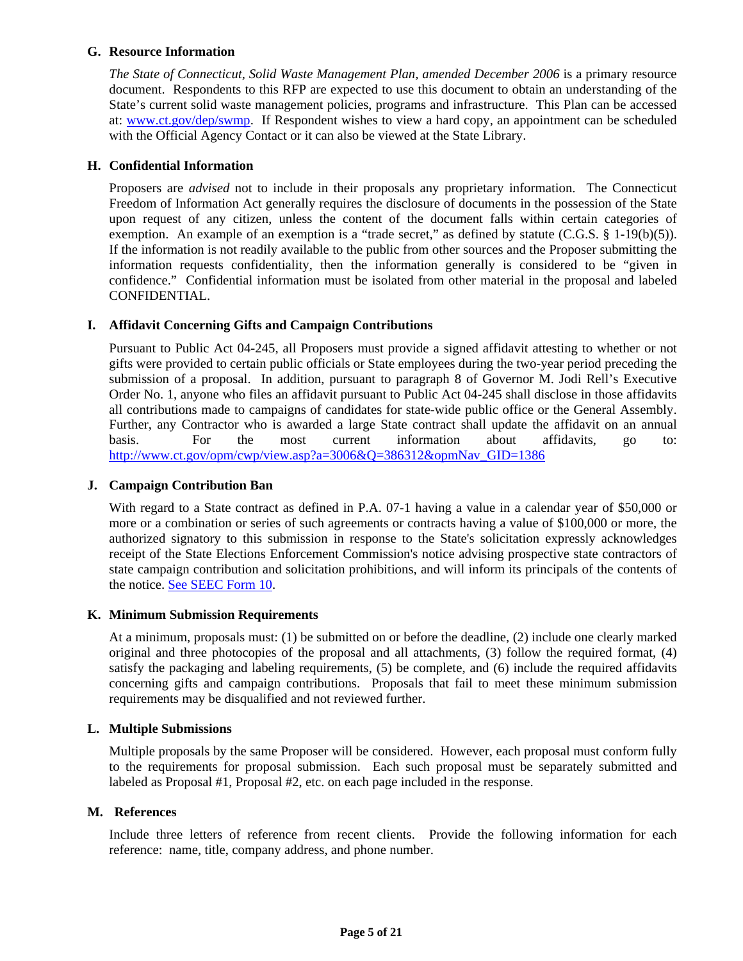### <span id="page-4-0"></span>**G. Resource Information**

*The State of Connecticut, Solid Waste Management Plan, amended December 2006* is a primary resource document. Respondents to this RFP are expected to use this document to obtain an understanding of the State's current solid waste management policies, programs and infrastructure. This Plan can be accessed at: [www.ct.gov/dep/swmp](http://www.ct.gov/dep/swmp). If Respondent wishes to view a hard copy, an appointment can be scheduled with the Official Agency Contact or it can also be viewed at the State Library.

### **H. Confidential Information**

Proposers are *advised* not to include in their proposals any proprietary information. The Connecticut Freedom of Information Act generally requires the disclosure of documents in the possession of the State upon request of any citizen, unless the content of the document falls within certain categories of exemption. An example of an exemption is a "trade secret," as defined by statute  $(C.G.S. \S 1-19(b)(5))$ . If the information is not readily available to the public from other sources and the Proposer submitting the information requests confidentiality, then the information generally is considered to be "given in confidence." Confidential information must be isolated from other material in the proposal and labeled CONFIDENTIAL.

### **I. Affidavit Concerning Gifts and Campaign Contributions**

Pursuant to Public Act 04-245, all Proposers must provide a signed affidavit attesting to whether or not gifts were provided to certain public officials or State employees during the two-year period preceding the submission of a proposal. In addition, pursuant to paragraph 8 of Governor M. Jodi Rell's Executive Order No. 1, anyone who files an affidavit pursuant to Public Act 04-245 shall disclose in those affidavits all contributions made to campaigns of candidates for state-wide public office or the General Assembly. Further, any Contractor who is awarded a large State contract shall update the affidavit on an annual basis. For the most current information about affidavits, go to: [http://www.ct.gov/opm/cwp/view.asp?a=3006&Q=386312&opmNav\\_GID=1386](http://www.ct.gov/opm/cwp/view.asp?a=3006&Q=386312&opmNav_GID=1386)

### **J. Campaign Contribution Ban**

With regard to a State contract as defined in P.A. 07-1 having a value in a calendar year of \$50,000 or more or a combination or series of such agreements or contracts having a value of \$100,000 or more, the authorized signatory to this submission in response to the State's solicitation expressly acknowledges receipt of the State Elections Enforcement Commission's notice advising prospective state contractors of state campaign contribution and solicitation prohibitions, and will inform its principals of the contents of the notice. [See SEEC Form 10](http://www.ct.gov/seec/lib/seec/seec_form_10_notice_to_state_contractors.pdf).

### **K. Minimum Submission Requirements**

At a minimum, proposals must: (1) be submitted on or before the deadline, (2) include one clearly marked original and three photocopies of the proposal and all attachments, (3) follow the required format, (4) satisfy the packaging and labeling requirements, (5) be complete, and (6) include the required affidavits concerning gifts and campaign contributions. Proposals that fail to meet these minimum submission requirements may be disqualified and not reviewed further.

### **L. Multiple Submissions**

Multiple proposals by the same Proposer will be considered. However, each proposal must conform fully to the requirements for proposal submission. Each such proposal must be separately submitted and labeled as Proposal #1, Proposal #2, etc. on each page included in the response.

### **M. References**

Include three letters of reference from recent clients. Provide the following information for each reference: name, title, company address, and phone number.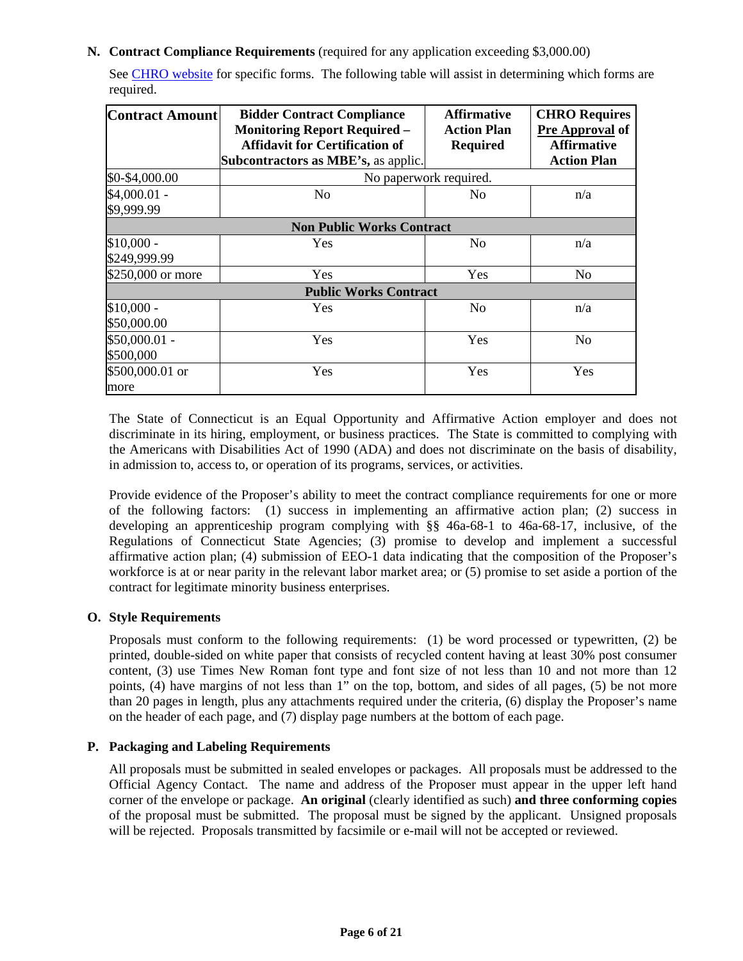### <span id="page-5-0"></span>**N. Contract Compliance Requirements** (required for any application exceeding \$3,000.00)

See [CHRO website](http://www.ct.gov/chro/cwp/view.asp?a=2525&Q=315900&chroPNavCtr=|#45679) for specific forms. The following table will assist in determining which forms are required.

| <b>Contract Amount</b> | <b>Bidder Contract Compliance</b>          | <b>Affirmative</b>     | <b>CHRO Requires</b> |  |
|------------------------|--------------------------------------------|------------------------|----------------------|--|
|                        | <b>Monitoring Report Required -</b>        | <b>Action Plan</b>     | Pre Approval of      |  |
|                        | <b>Affidavit for Certification of</b>      | <b>Required</b>        | <b>Affirmative</b>   |  |
|                        | <b>Subcontractors as MBE's, as applic.</b> |                        | <b>Action Plan</b>   |  |
| \$0-\$4,000.00         |                                            | No paperwork required. |                      |  |
| $$4,000.01 -$          | No                                         | No                     | n/a                  |  |
| \$9,999.99             |                                            |                        |                      |  |
|                        | <b>Non Public Works Contract</b>           |                        |                      |  |
| $$10,000 -$            | Yes                                        | No                     | n/a                  |  |
| \$249,999.99           |                                            |                        |                      |  |
| \$250,000 or more      | Yes                                        | Yes                    | No                   |  |
|                        | <b>Public Works Contract</b>               |                        |                      |  |
| $$10,000 -$            | Yes                                        | No                     | n/a                  |  |
| \$50,000.00            |                                            |                        |                      |  |
| \$50,000.01 -          | Yes                                        | Yes                    | No                   |  |
| \$500,000              |                                            |                        |                      |  |
| \$500,000.01 or        | Yes                                        | Yes                    | Yes                  |  |
| more                   |                                            |                        |                      |  |

The State of Connecticut is an Equal Opportunity and Affirmative Action employer and does not discriminate in its hiring, employment, or business practices. The State is committed to complying with the Americans with Disabilities Act of 1990 (ADA) and does not discriminate on the basis of disability, in admission to, access to, or operation of its programs, services, or activities.

Provide evidence of the Proposer's ability to meet the contract compliance requirements for one or more of the following factors: (1) success in implementing an affirmative action plan; (2) success in developing an apprenticeship program complying with §§ 46a-68-1 to 46a-68-17, inclusive, of the Regulations of Connecticut State Agencies; (3) promise to develop and implement a successful affirmative action plan; (4) submission of EEO-1 data indicating that the composition of the Proposer's workforce is at or near parity in the relevant labor market area; or (5) promise to set aside a portion of the contract for legitimate minority business enterprises.

## **O. Style Requirements**

Proposals must conform to the following requirements: (1) be word processed or typewritten, (2) be printed, double-sided on white paper that consists of recycled content having at least 30% post consumer content, (3) use Times New Roman font type and font size of not less than 10 and not more than 12 points, (4) have margins of not less than 1" on the top, bottom, and sides of all pages, (5) be not more than 20 pages in length, plus any attachments required under the criteria, (6) display the Proposer's name on the header of each page, and (7) display page numbers at the bottom of each page.

### **P. Packaging and Labeling Requirements**

All proposals must be submitted in sealed envelopes or packages. All proposals must be addressed to the Official Agency Contact. The name and address of the Proposer must appear in the upper left hand corner of the envelope or package. **An original** (clearly identified as such) **and three conforming copies** of the proposal must be submitted. The proposal must be signed by the applicant. Unsigned proposals will be rejected. Proposals transmitted by facsimile or e-mail will not be accepted or reviewed.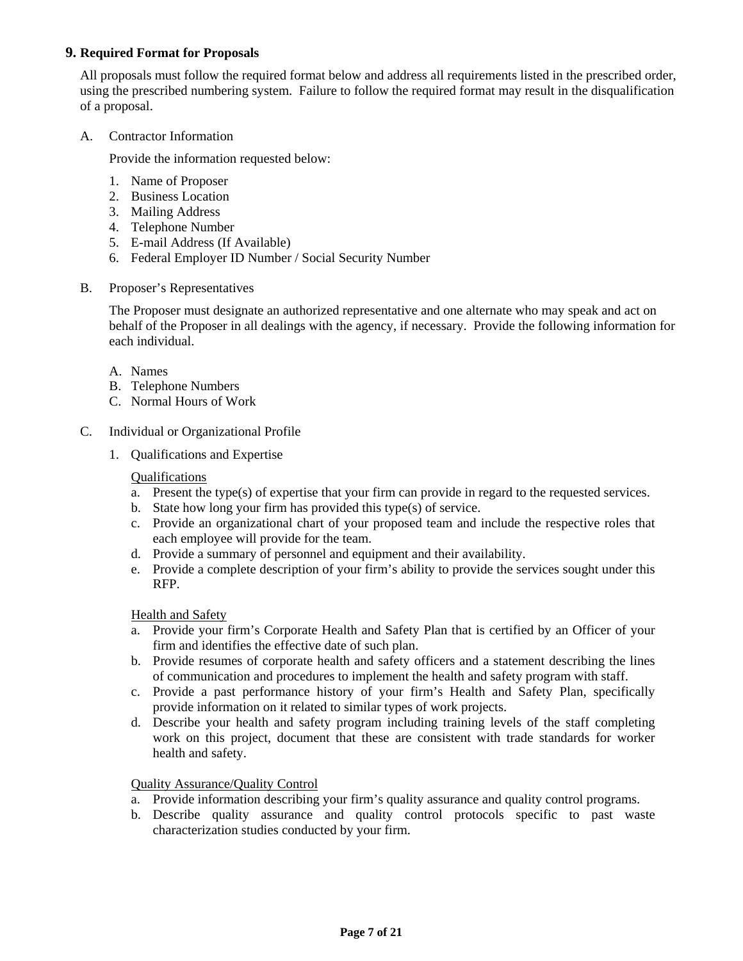### <span id="page-6-0"></span>**9. Required Format for Proposals**

All proposals must follow the required format below and address all requirements listed in the prescribed order, using the prescribed numbering system. Failure to follow the required format may result in the disqualification of a proposal.

### A. Contractor Information

Provide the information requested below:

- 1. Name of Proposer
- 2. Business Location
- 3. Mailing Address
- 4. Telephone Number
- 5. E-mail Address (If Available)
- 6. Federal Employer ID Number / Social Security Number
- B. Proposer's Representatives

The Proposer must designate an authorized representative and one alternate who may speak and act on behalf of the Proposer in all dealings with the agency, if necessary. Provide the following information for each individual.

- A. Names
- B. Telephone Numbers
- C. Normal Hours of Work
- C. Individual or Organizational Profile
	- 1. Qualifications and Expertise

### Qualifications

- a. Present the type(s) of expertise that your firm can provide in regard to the requested services.
- b. State how long your firm has provided this type(s) of service.
- c. Provide an organizational chart of your proposed team and include the respective roles that each employee will provide for the team.
- d. Provide a summary of personnel and equipment and their availability.
- e. Provide a complete description of your firm's ability to provide the services sought under this RFP.

Health and Safety

- a. Provide your firm's Corporate Health and Safety Plan that is certified by an Officer of your firm and identifies the effective date of such plan.
- b. Provide resumes of corporate health and safety officers and a statement describing the lines of communication and procedures to implement the health and safety program with staff.
- c. Provide a past performance history of your firm's Health and Safety Plan, specifically provide information on it related to similar types of work projects.
- d. Describe your health and safety program including training levels of the staff completing work on this project, document that these are consistent with trade standards for worker health and safety.

Quality Assurance/Quality Control

- a. Provide information describing your firm's quality assurance and quality control programs.
- b. Describe quality assurance and quality control protocols specific to past waste characterization studies conducted by your firm.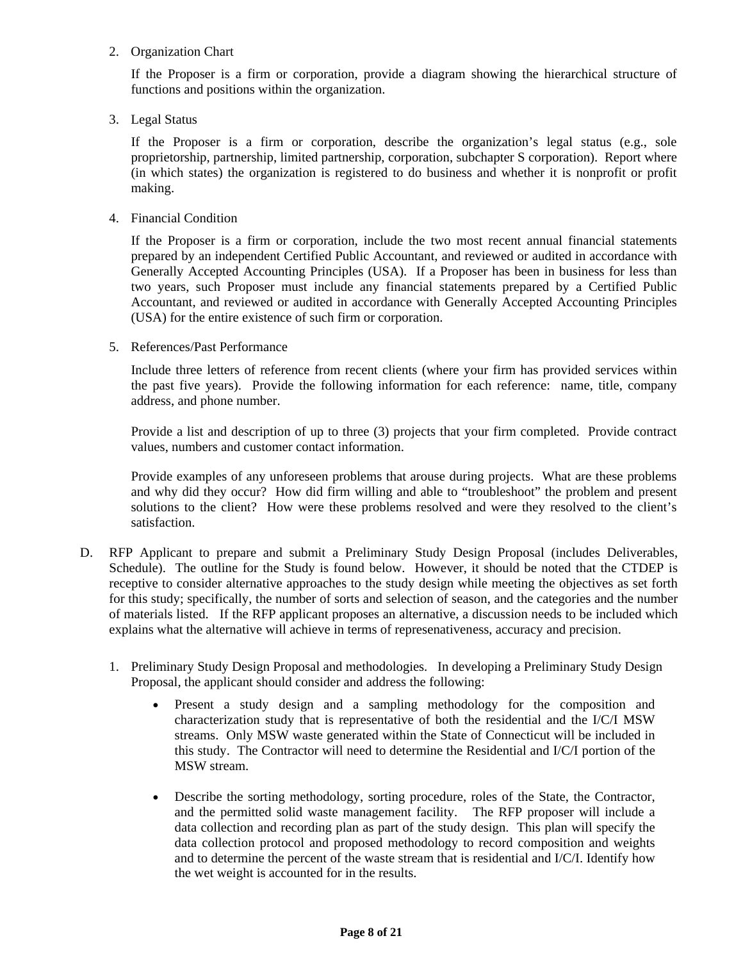### 2. Organization Chart

If the Proposer is a firm or corporation, provide a diagram showing the hierarchical structure of functions and positions within the organization.

3. Legal Status

If the Proposer is a firm or corporation, describe the organization's legal status (e.g., sole proprietorship, partnership, limited partnership, corporation, subchapter S corporation). Report where (in which states) the organization is registered to do business and whether it is nonprofit or profit making.

4. Financial Condition

If the Proposer is a firm or corporation, include the two most recent annual financial statements prepared by an independent Certified Public Accountant, and reviewed or audited in accordance with Generally Accepted Accounting Principles (USA). If a Proposer has been in business for less than two years, such Proposer must include any financial statements prepared by a Certified Public Accountant, and reviewed or audited in accordance with Generally Accepted Accounting Principles (USA) for the entire existence of such firm or corporation.

5. References/Past Performance

Include three letters of reference from recent clients (where your firm has provided services within the past five years). Provide the following information for each reference: name, title, company address, and phone number.

Provide a list and description of up to three (3) projects that your firm completed. Provide contract values, numbers and customer contact information.

Provide examples of any unforeseen problems that arouse during projects. What are these problems and why did they occur? How did firm willing and able to "troubleshoot" the problem and present solutions to the client? How were these problems resolved and were they resolved to the client's satisfaction.

- D. RFP Applicant to prepare and submit a Preliminary Study Design Proposal (includes Deliverables, Schedule). The outline for the Study is found below. However, it should be noted that the CTDEP is receptive to consider alternative approaches to the study design while meeting the objectives as set forth for this study; specifically, the number of sorts and selection of season, and the categories and the number of materials listed. If the RFP applicant proposes an alternative, a discussion needs to be included which explains what the alternative will achieve in terms of represenativeness, accuracy and precision.
	- 1. Preliminary Study Design Proposal and methodologies. In developing a Preliminary Study Design Proposal, the applicant should consider and address the following:
		- Present a study design and a sampling methodology for the composition and characterization study that is representative of both the residential and the I/C/I MSW streams. Only MSW waste generated within the State of Connecticut will be included in this study. The Contractor will need to determine the Residential and I/C/I portion of the MSW stream.
		- Describe the sorting methodology, sorting procedure, roles of the State, the Contractor, and the permitted solid waste management facility. The RFP proposer will include a data collection and recording plan as part of the study design. This plan will specify the data collection protocol and proposed methodology to record composition and weights and to determine the percent of the waste stream that is residential and I/C/I. Identify how the wet weight is accounted for in the results.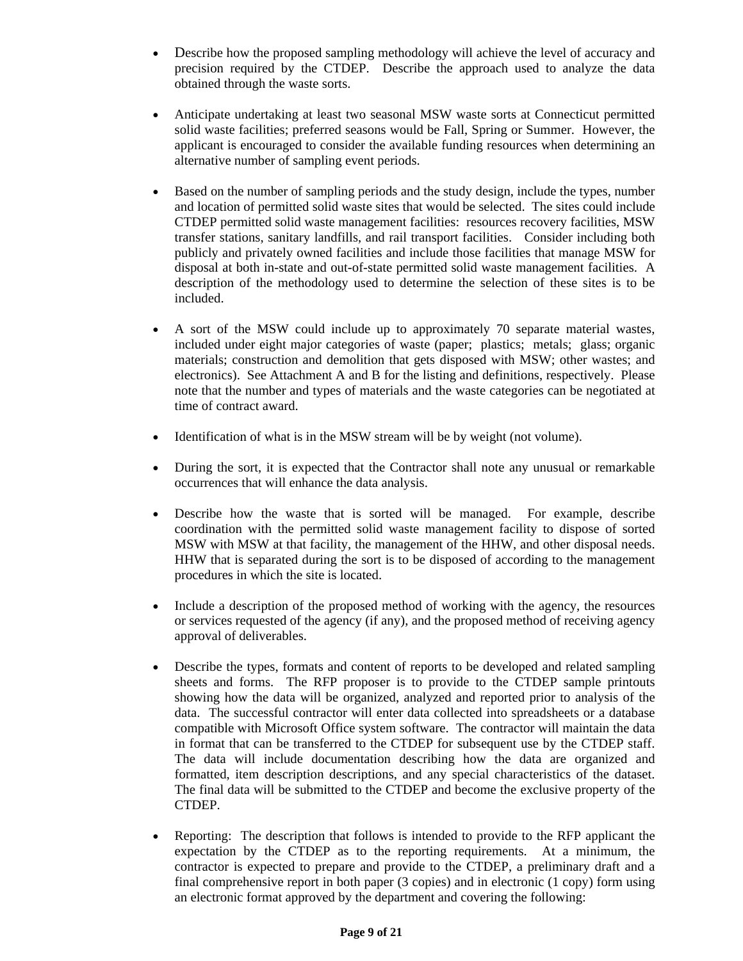- Describe how the proposed sampling methodology will achieve the level of accuracy and precision required by the CTDEP. Describe the approach used to analyze the data obtained through the waste sorts.
- Anticipate undertaking at least two seasonal MSW waste sorts at Connecticut permitted solid waste facilities; preferred seasons would be Fall, Spring or Summer. However, the applicant is encouraged to consider the available funding resources when determining an alternative number of sampling event periods.
- Based on the number of sampling periods and the study design, include the types, number and location of permitted solid waste sites that would be selected. The sites could include CTDEP permitted solid waste management facilities: resources recovery facilities, MSW transfer stations, sanitary landfills, and rail transport facilities. Consider including both publicly and privately owned facilities and include those facilities that manage MSW for disposal at both in-state and out-of-state permitted solid waste management facilities. A description of the methodology used to determine the selection of these sites is to be included.
- A sort of the MSW could include up to approximately 70 separate material wastes, included under eight major categories of waste (paper; plastics; metals; glass; organic materials; construction and demolition that gets disposed with MSW; other wastes; and electronics). See Attachment A and B for the listing and definitions, respectively. Please note that the number and types of materials and the waste categories can be negotiated at time of contract award.
- Identification of what is in the MSW stream will be by weight (not volume).
- During the sort, it is expected that the Contractor shall note any unusual or remarkable occurrences that will enhance the data analysis.
- Describe how the waste that is sorted will be managed. For example, describe coordination with the permitted solid waste management facility to dispose of sorted MSW with MSW at that facility, the management of the HHW, and other disposal needs. HHW that is separated during the sort is to be disposed of according to the management procedures in which the site is located.
- Include a description of the proposed method of working with the agency, the resources or services requested of the agency (if any), and the proposed method of receiving agency approval of deliverables.
- Describe the types, formats and content of reports to be developed and related sampling sheets and forms. The RFP proposer is to provide to the CTDEP sample printouts showing how the data will be organized, analyzed and reported prior to analysis of the data. The successful contractor will enter data collected into spreadsheets or a database compatible with Microsoft Office system software. The contractor will maintain the data in format that can be transferred to the CTDEP for subsequent use by the CTDEP staff. The data will include documentation describing how the data are organized and formatted, item description descriptions, and any special characteristics of the dataset. The final data will be submitted to the CTDEP and become the exclusive property of the CTDEP.
- Reporting: The description that follows is intended to provide to the RFP applicant the expectation by the CTDEP as to the reporting requirements. At a minimum, the contractor is expected to prepare and provide to the CTDEP, a preliminary draft and a final comprehensive report in both paper (3 copies) and in electronic (1 copy) form using an electronic format approved by the department and covering the following: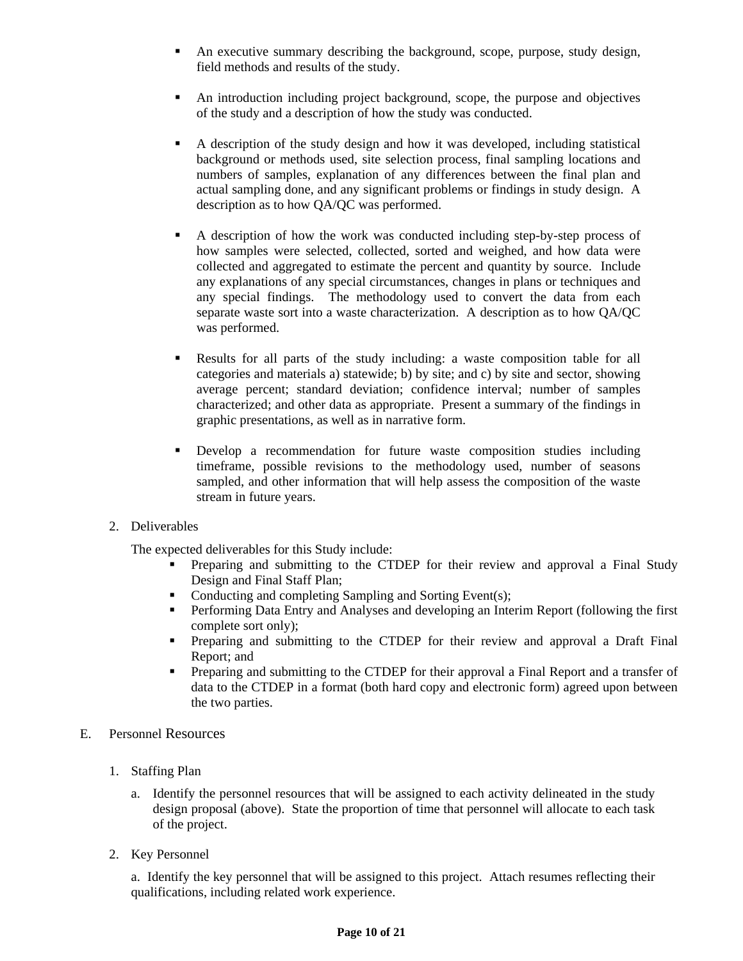- An executive summary describing the background, scope, purpose, study design, field methods and results of the study.
- An introduction including project background, scope, the purpose and objectives of the study and a description of how the study was conducted.
- A description of the study design and how it was developed, including statistical background or methods used, site selection process, final sampling locations and numbers of samples, explanation of any differences between the final plan and actual sampling done, and any significant problems or findings in study design. A description as to how QA/QC was performed.
- A description of how the work was conducted including step-by-step process of how samples were selected, collected, sorted and weighed, and how data were collected and aggregated to estimate the percent and quantity by source. Include any explanations of any special circumstances, changes in plans or techniques and any special findings. The methodology used to convert the data from each separate waste sort into a waste characterization. A description as to how QA/QC was performed.
- Results for all parts of the study including: a waste composition table for all categories and materials a) statewide; b) by site; and c) by site and sector, showing average percent; standard deviation; confidence interval; number of samples characterized; and other data as appropriate. Present a summary of the findings in graphic presentations, as well as in narrative form.
- Develop a recommendation for future waste composition studies including timeframe, possible revisions to the methodology used, number of seasons sampled, and other information that will help assess the composition of the waste stream in future years.
- 2. Deliverables

The expected deliverables for this Study include:

- **Preparing and submitting to the CTDEP for their review and approval a Final Study** Design and Final Staff Plan;
- Conducting and completing Sampling and Sorting Event(s);
- Performing Data Entry and Analyses and developing an Interim Report (following the first complete sort only);
- Preparing and submitting to the CTDEP for their review and approval a Draft Final Report; and
- Preparing and submitting to the CTDEP for their approval a Final Report and a transfer of data to the CTDEP in a format (both hard copy and electronic form) agreed upon between the two parties.
- E. Personnel Resources
	- 1. Staffing Plan
		- a. Identify the personnel resources that will be assigned to each activity delineated in the study design proposal (above). State the proportion of time that personnel will allocate to each task of the project.
	- 2. Key Personnel

a. Identify the key personnel that will be assigned to this project. Attach resumes reflecting their qualifications, including related work experience.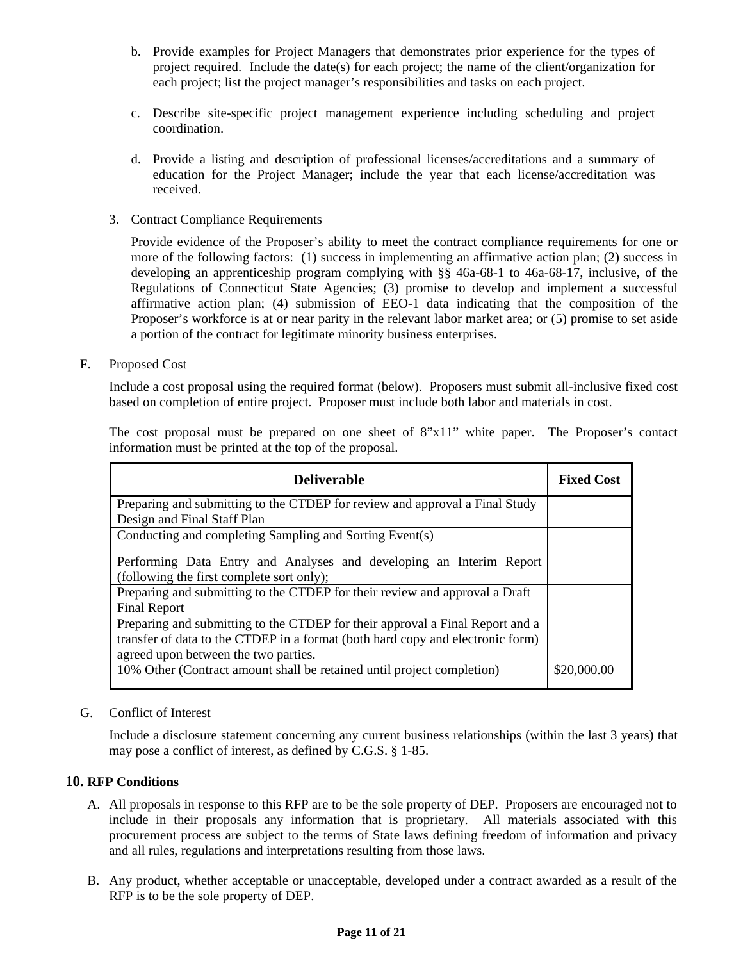- <span id="page-10-0"></span>b. Provide examples for Project Managers that demonstrates prior experience for the types of project required. Include the date(s) for each project; the name of the client/organization for each project; list the project manager's responsibilities and tasks on each project.
- c. Describe site-specific project management experience including scheduling and project coordination.
- d. Provide a listing and description of professional licenses/accreditations and a summary of education for the Project Manager; include the year that each license/accreditation was received.
- 3. Contract Compliance Requirements

Provide evidence of the Proposer's ability to meet the contract compliance requirements for one or more of the following factors: (1) success in implementing an affirmative action plan; (2) success in developing an apprenticeship program complying with §§ 46a-68-1 to 46a-68-17, inclusive, of the Regulations of Connecticut State Agencies; (3) promise to develop and implement a successful affirmative action plan; (4) submission of EEO-1 data indicating that the composition of the Proposer's workforce is at or near parity in the relevant labor market area; or (5) promise to set aside a portion of the contract for legitimate minority business enterprises.

F. Proposed Cost

Include a cost proposal using the required format (below). Proposers must submit all-inclusive fixed cost based on completion of entire project. Proposer must include both labor and materials in cost.

| <b>Deliverable</b>                                                             | <b>Fixed Cost</b> |
|--------------------------------------------------------------------------------|-------------------|
| Preparing and submitting to the CTDEP for review and approval a Final Study    |                   |
| Design and Final Staff Plan                                                    |                   |
| Conducting and completing Sampling and Sorting Event(s)                        |                   |
| Performing Data Entry and Analyses and developing an Interim Report            |                   |
| (following the first complete sort only);                                      |                   |
| Preparing and submitting to the CTDEP for their review and approval a Draft    |                   |
| <b>Final Report</b>                                                            |                   |
| Preparing and submitting to the CTDEP for their approval a Final Report and a  |                   |
| transfer of data to the CTDEP in a format (both hard copy and electronic form) |                   |
| agreed upon between the two parties.                                           |                   |
| 10% Other (Contract amount shall be retained until project completion)         | \$20,000.00       |

The cost proposal must be prepared on one sheet of 8"x11" white paper. The Proposer's contact information must be printed at the top of the proposal.

### G. Conflict of Interest

Include a disclosure statement concerning any current business relationships (within the last 3 years) that may pose a conflict of interest, as defined by C.G.S. § 1-85.

### **10. RFP Conditions**

- A. All proposals in response to this RFP are to be the sole property of DEP. Proposers are encouraged not to include in their proposals any information that is proprietary. All materials associated with this procurement process are subject to the terms of State laws defining freedom of information and privacy and all rules, regulations and interpretations resulting from those laws.
- B. Any product, whether acceptable or unacceptable, developed under a contract awarded as a result of the RFP is to be the sole property of DEP.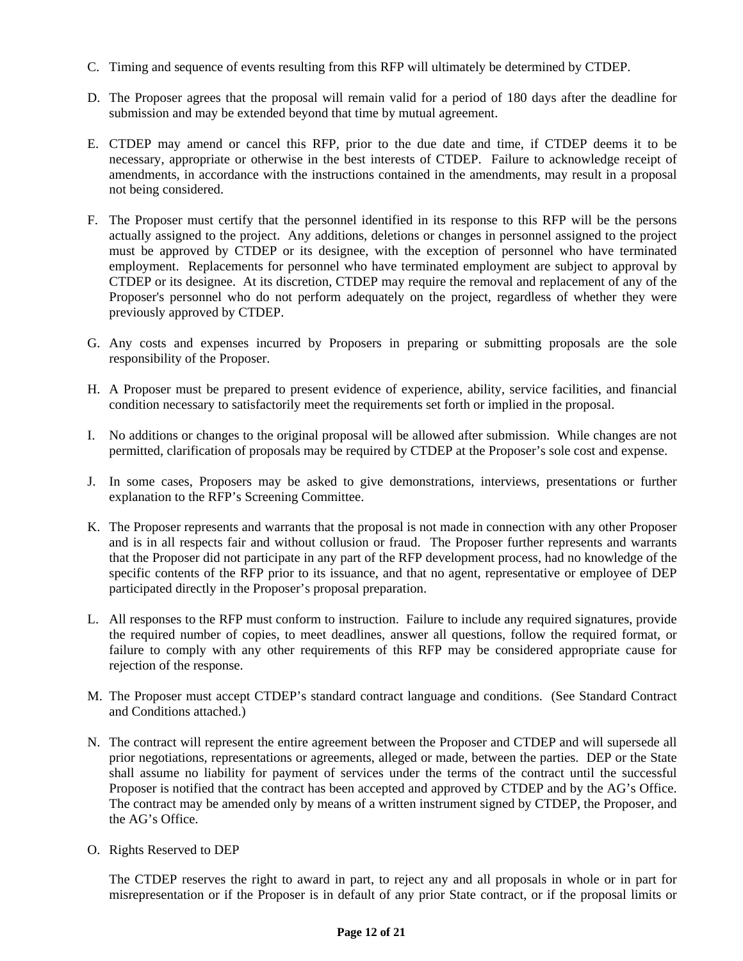- C. Timing and sequence of events resulting from this RFP will ultimately be determined by CTDEP.
- D. The Proposer agrees that the proposal will remain valid for a period of 180 days after the deadline for submission and may be extended beyond that time by mutual agreement.
- E. CTDEP may amend or cancel this RFP, prior to the due date and time, if CTDEP deems it to be necessary, appropriate or otherwise in the best interests of CTDEP. Failure to acknowledge receipt of amendments, in accordance with the instructions contained in the amendments, may result in a proposal not being considered.
- F. The Proposer must certify that the personnel identified in its response to this RFP will be the persons actually assigned to the project. Any additions, deletions or changes in personnel assigned to the project must be approved by CTDEP or its designee, with the exception of personnel who have terminated employment. Replacements for personnel who have terminated employment are subject to approval by CTDEP or its designee. At its discretion, CTDEP may require the removal and replacement of any of the Proposer's personnel who do not perform adequately on the project, regardless of whether they were previously approved by CTDEP.
- G. Any costs and expenses incurred by Proposers in preparing or submitting proposals are the sole responsibility of the Proposer.
- H. A Proposer must be prepared to present evidence of experience, ability, service facilities, and financial condition necessary to satisfactorily meet the requirements set forth or implied in the proposal.
- I. No additions or changes to the original proposal will be allowed after submission. While changes are not permitted, clarification of proposals may be required by CTDEP at the Proposer's sole cost and expense.
- J. In some cases, Proposers may be asked to give demonstrations, interviews, presentations or further explanation to the RFP's Screening Committee.
- K. The Proposer represents and warrants that the proposal is not made in connection with any other Proposer and is in all respects fair and without collusion or fraud. The Proposer further represents and warrants that the Proposer did not participate in any part of the RFP development process, had no knowledge of the specific contents of the RFP prior to its issuance, and that no agent, representative or employee of DEP participated directly in the Proposer's proposal preparation.
- L. All responses to the RFP must conform to instruction. Failure to include any required signatures, provide the required number of copies, to meet deadlines, answer all questions, follow the required format, or failure to comply with any other requirements of this RFP may be considered appropriate cause for rejection of the response.
- M. The Proposer must accept CTDEP's standard contract language and conditions. (See Standard Contract and Conditions attached.)
- N. The contract will represent the entire agreement between the Proposer and CTDEP and will supersede all prior negotiations, representations or agreements, alleged or made, between the parties. DEP or the State shall assume no liability for payment of services under the terms of the contract until the successful Proposer is notified that the contract has been accepted and approved by CTDEP and by the AG's Office. The contract may be amended only by means of a written instrument signed by CTDEP, the Proposer, and the AG's Office.
- O. Rights Reserved to DEP

The CTDEP reserves the right to award in part, to reject any and all proposals in whole or in part for misrepresentation or if the Proposer is in default of any prior State contract, or if the proposal limits or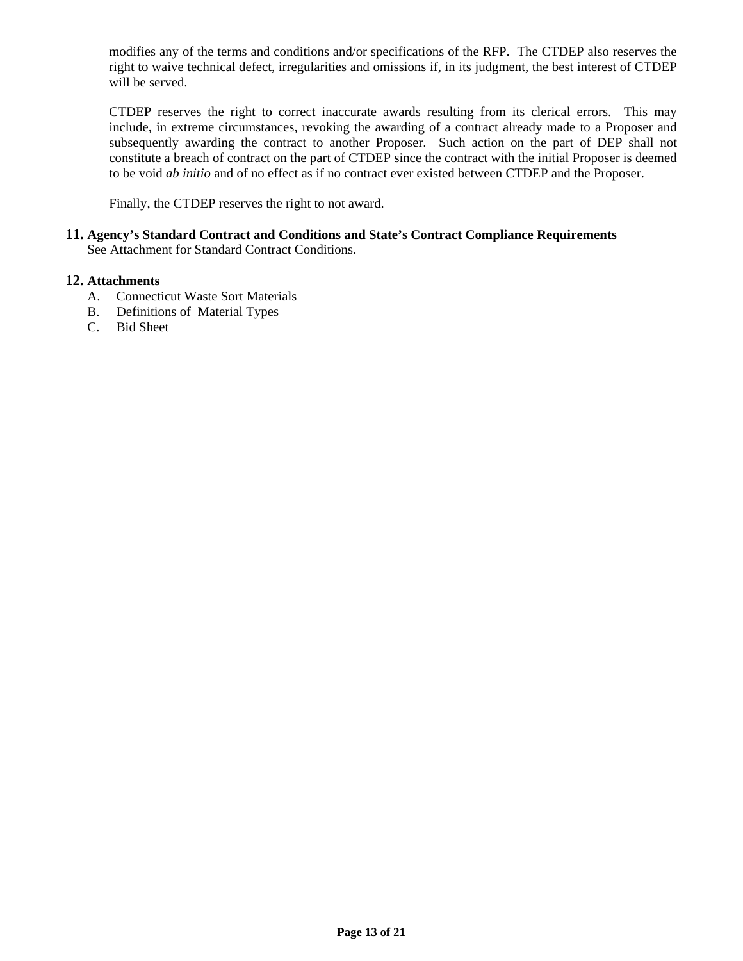<span id="page-12-0"></span>modifies any of the terms and conditions and/or specifications of the RFP. The CTDEP also reserves the right to waive technical defect, irregularities and omissions if, in its judgment, the best interest of CTDEP will be served.

CTDEP reserves the right to correct inaccurate awards resulting from its clerical errors. This may include, in extreme circumstances, revoking the awarding of a contract already made to a Proposer and subsequently awarding the contract to another Proposer. Such action on the part of DEP shall not constitute a breach of contract on the part of CTDEP since the contract with the initial Proposer is deemed to be void *ab initio* and of no effect as if no contract ever existed between CTDEP and the Proposer.

Finally, the CTDEP reserves the right to not award.

### **11. Agency's Standard Contract and Conditions and State's Contract Compliance Requirements**  See Attachment for Standard Contract Conditions.

### **12. Attachments**

- A. Connecticut Waste Sort Materials
- B. Definitions of Material Types
- C. Bid Sheet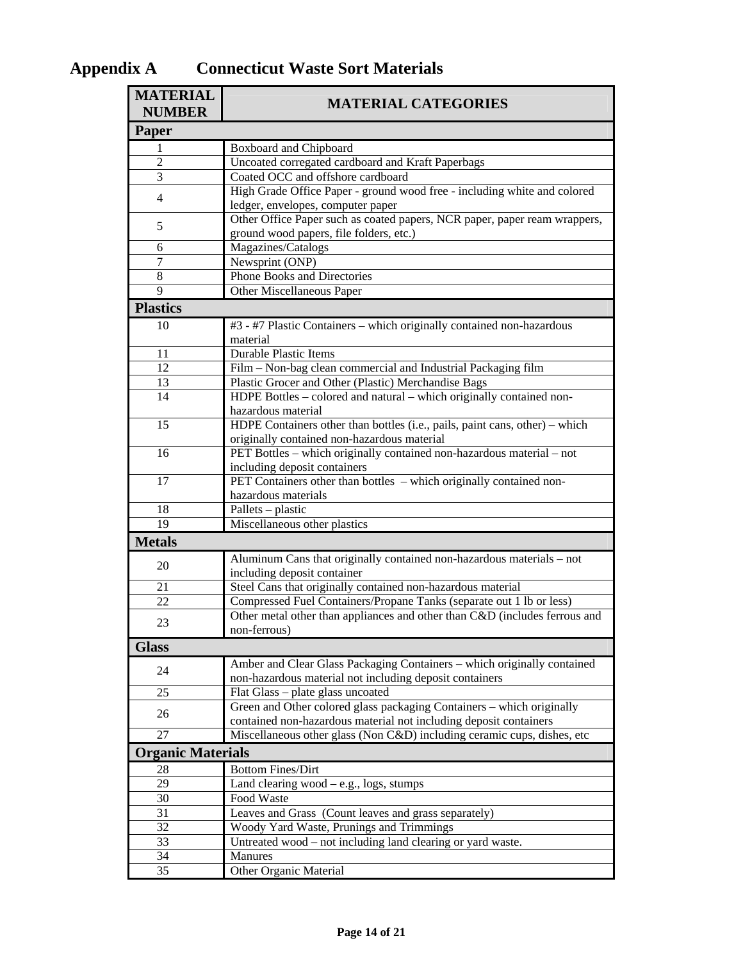| <b>MATERIAL</b><br><b>NUMBER</b>                                                                                                 | <b>MATERIAL CATEGORIES</b>                                                                                                                 |  |  |  |  |  |  |
|----------------------------------------------------------------------------------------------------------------------------------|--------------------------------------------------------------------------------------------------------------------------------------------|--|--|--|--|--|--|
| Paper                                                                                                                            |                                                                                                                                            |  |  |  |  |  |  |
| 1                                                                                                                                | Boxboard and Chipboard                                                                                                                     |  |  |  |  |  |  |
| $\overline{2}$                                                                                                                   | Uncoated corregated cardboard and Kraft Paperbags                                                                                          |  |  |  |  |  |  |
| 3                                                                                                                                | Coated OCC and offshore cardboard                                                                                                          |  |  |  |  |  |  |
| $\overline{4}$                                                                                                                   | High Grade Office Paper - ground wood free - including white and colored<br>ledger, envelopes, computer paper                              |  |  |  |  |  |  |
| 5                                                                                                                                | Other Office Paper such as coated papers, NCR paper, paper ream wrappers,<br>ground wood papers, file folders, etc.)                       |  |  |  |  |  |  |
| 6                                                                                                                                | Magazines/Catalogs                                                                                                                         |  |  |  |  |  |  |
| $\tau$                                                                                                                           | Newsprint (ONP)                                                                                                                            |  |  |  |  |  |  |
| $8\,$                                                                                                                            | <b>Phone Books and Directories</b>                                                                                                         |  |  |  |  |  |  |
| 9                                                                                                                                | Other Miscellaneous Paper                                                                                                                  |  |  |  |  |  |  |
| <b>Plastics</b>                                                                                                                  |                                                                                                                                            |  |  |  |  |  |  |
| 10                                                                                                                               | #3 - #7 Plastic Containers - which originally contained non-hazardous<br>material                                                          |  |  |  |  |  |  |
| 11                                                                                                                               | <b>Durable Plastic Items</b>                                                                                                               |  |  |  |  |  |  |
| 12                                                                                                                               | Film - Non-bag clean commercial and Industrial Packaging film                                                                              |  |  |  |  |  |  |
| 13                                                                                                                               | Plastic Grocer and Other (Plastic) Merchandise Bags                                                                                        |  |  |  |  |  |  |
| 14                                                                                                                               | HDPE Bottles – colored and natural – which originally contained non-<br>hazardous material                                                 |  |  |  |  |  |  |
| 15<br>HDPE Containers other than bottles (i.e., pails, paint cans, other) – which<br>originally contained non-hazardous material |                                                                                                                                            |  |  |  |  |  |  |
| 16                                                                                                                               | PET Bottles - which originally contained non-hazardous material - not<br>including deposit containers                                      |  |  |  |  |  |  |
| 17                                                                                                                               | PET Containers other than bottles – which originally contained non-<br>hazardous materials                                                 |  |  |  |  |  |  |
| 18                                                                                                                               | Pallets – plastic                                                                                                                          |  |  |  |  |  |  |
| 19                                                                                                                               | Miscellaneous other plastics                                                                                                               |  |  |  |  |  |  |
| <b>Metals</b>                                                                                                                    |                                                                                                                                            |  |  |  |  |  |  |
| 20                                                                                                                               | Aluminum Cans that originally contained non-hazardous materials - not<br>including deposit container                                       |  |  |  |  |  |  |
| 21                                                                                                                               | Steel Cans that originally contained non-hazardous material                                                                                |  |  |  |  |  |  |
| 22                                                                                                                               | Compressed Fuel Containers/Propane Tanks (separate out 1 lb or less)                                                                       |  |  |  |  |  |  |
| 23                                                                                                                               | Other metal other than appliances and other than C&D (includes ferrous and<br>non-ferrous)                                                 |  |  |  |  |  |  |
| <b>Glass</b>                                                                                                                     |                                                                                                                                            |  |  |  |  |  |  |
|                                                                                                                                  | Amber and Clear Glass Packaging Containers - which originally contained                                                                    |  |  |  |  |  |  |
| 24                                                                                                                               | non-hazardous material not including deposit containers                                                                                    |  |  |  |  |  |  |
| 25                                                                                                                               | Flat Glass - plate glass uncoated                                                                                                          |  |  |  |  |  |  |
| 26                                                                                                                               | Green and Other colored glass packaging Containers – which originally<br>contained non-hazardous material not including deposit containers |  |  |  |  |  |  |
| 27                                                                                                                               | Miscellaneous other glass (Non C&D) including ceramic cups, dishes, etc                                                                    |  |  |  |  |  |  |
| <b>Organic Materials</b>                                                                                                         |                                                                                                                                            |  |  |  |  |  |  |
| 28                                                                                                                               | <b>Bottom Fines/Dirt</b>                                                                                                                   |  |  |  |  |  |  |
| 29                                                                                                                               | Land clearing wood $-$ e.g., logs, stumps                                                                                                  |  |  |  |  |  |  |
| 30                                                                                                                               | Food Waste                                                                                                                                 |  |  |  |  |  |  |
| 31                                                                                                                               | Leaves and Grass (Count leaves and grass separately)                                                                                       |  |  |  |  |  |  |
| 32                                                                                                                               | Woody Yard Waste, Prunings and Trimmings                                                                                                   |  |  |  |  |  |  |
| 33                                                                                                                               | Untreated wood - not including land clearing or yard waste.                                                                                |  |  |  |  |  |  |
| 34                                                                                                                               | Manures                                                                                                                                    |  |  |  |  |  |  |
| 35                                                                                                                               | Other Organic Material                                                                                                                     |  |  |  |  |  |  |

# <span id="page-13-0"></span>**Appendix A Connecticut Waste Sort Materials**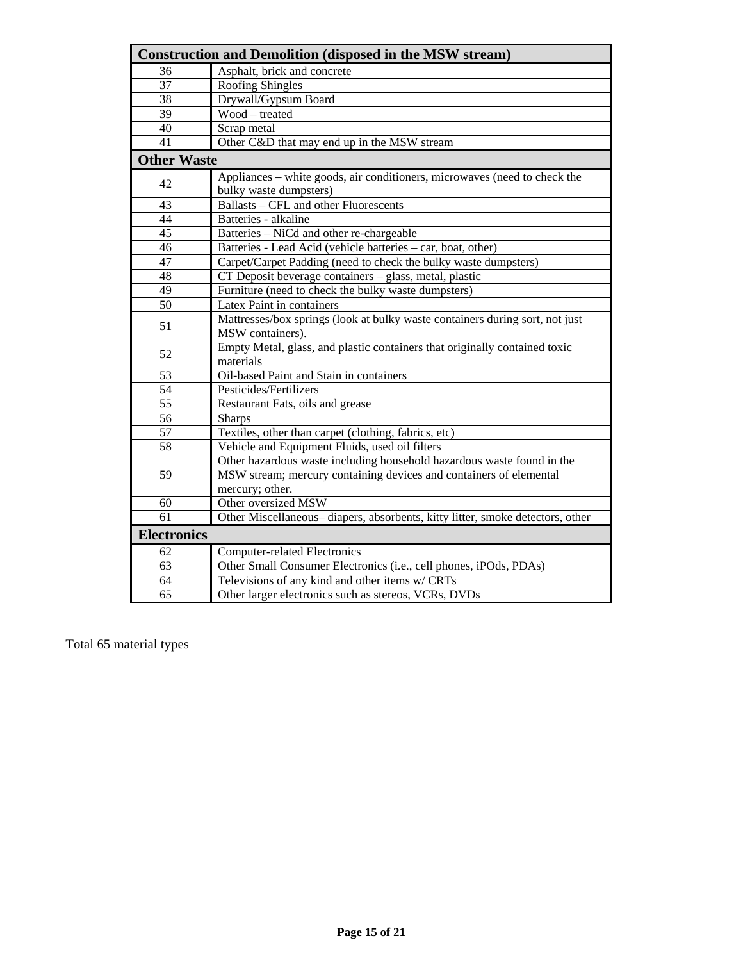| <b>Construction and Demolition (disposed in the MSW stream)</b> |                                                                               |  |  |  |  |
|-----------------------------------------------------------------|-------------------------------------------------------------------------------|--|--|--|--|
| 36                                                              | Asphalt, brick and concrete                                                   |  |  |  |  |
| 37                                                              | <b>Roofing Shingles</b>                                                       |  |  |  |  |
| 38                                                              | Drywall/Gypsum Board                                                          |  |  |  |  |
| 39                                                              | Wood - treated                                                                |  |  |  |  |
| 40                                                              | Scrap metal                                                                   |  |  |  |  |
| 41                                                              | Other C&D that may end up in the MSW stream                                   |  |  |  |  |
| <b>Other Waste</b>                                              |                                                                               |  |  |  |  |
| 42                                                              | Appliances – white goods, air conditioners, microwaves (need to check the     |  |  |  |  |
|                                                                 | bulky waste dumpsters)                                                        |  |  |  |  |
| 43                                                              | Ballasts - CFL and other Fluorescents                                         |  |  |  |  |
| 44                                                              | Batteries - alkaline                                                          |  |  |  |  |
| 45                                                              | Batteries - NiCd and other re-chargeable                                      |  |  |  |  |
| 46                                                              | Batteries - Lead Acid (vehicle batteries - car, boat, other)                  |  |  |  |  |
| 47                                                              | Carpet/Carpet Padding (need to check the bulky waste dumpsters)               |  |  |  |  |
| 48                                                              | CT Deposit beverage containers - glass, metal, plastic                        |  |  |  |  |
| 49                                                              | Furniture (need to check the bulky waste dumpsters)                           |  |  |  |  |
| 50                                                              | Latex Paint in containers                                                     |  |  |  |  |
| 51                                                              | Mattresses/box springs (look at bulky waste containers during sort, not just  |  |  |  |  |
|                                                                 | MSW containers).                                                              |  |  |  |  |
| 52                                                              | Empty Metal, glass, and plastic containers that originally contained toxic    |  |  |  |  |
|                                                                 | materials                                                                     |  |  |  |  |
| 53                                                              | Oil-based Paint and Stain in containers                                       |  |  |  |  |
| 54                                                              | Pesticides/Fertilizers                                                        |  |  |  |  |
| 55                                                              | Restaurant Fats, oils and grease                                              |  |  |  |  |
| 56                                                              | <b>Sharps</b>                                                                 |  |  |  |  |
| 57                                                              | Textiles, other than carpet (clothing, fabrics, etc)                          |  |  |  |  |
| 58                                                              | Vehicle and Equipment Fluids, used oil filters                                |  |  |  |  |
|                                                                 | Other hazardous waste including household hazardous waste found in the        |  |  |  |  |
| 59                                                              | MSW stream; mercury containing devices and containers of elemental            |  |  |  |  |
|                                                                 | mercury; other.                                                               |  |  |  |  |
| 60                                                              | Other oversized MSW                                                           |  |  |  |  |
| 61                                                              | Other Miscellaneous-diapers, absorbents, kitty litter, smoke detectors, other |  |  |  |  |
| <b>Electronics</b>                                              |                                                                               |  |  |  |  |
| 62                                                              | <b>Computer-related Electronics</b>                                           |  |  |  |  |
| 63                                                              | Other Small Consumer Electronics (i.e., cell phones, iPOds, PDAs)             |  |  |  |  |
| 64                                                              | Televisions of any kind and other items w/ CRTs                               |  |  |  |  |
| $\overline{65}$                                                 | Other larger electronics such as stereos, VCRs, DVDs                          |  |  |  |  |

Total 65 material types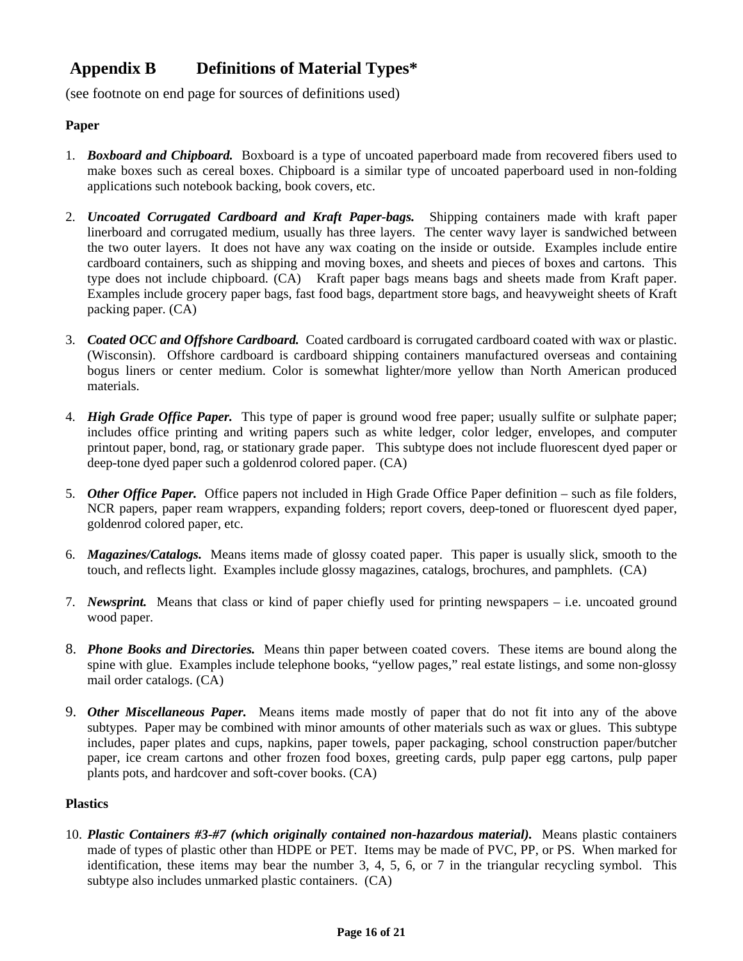# <span id="page-15-0"></span>**Appendix B Definitions of Material Types\***

(see footnote on end page for sources of definitions used)

## **Paper**

- 1. *Boxboard and Chipboard.* Boxboard is a type of uncoated paperboard made from recovered fibers used to make boxes such as cereal boxes. Chipboard is a similar type of uncoated paperboard used in non-folding applications such notebook backing, book covers, etc.
- 2. *Uncoated Corrugated Cardboard and Kraft Paper-bags.* Shipping containers made with kraft paper linerboard and corrugated medium, usually has three layers. The center wavy layer is sandwiched between the two outer layers. It does not have any wax coating on the inside or outside. Examples include entire cardboard containers, such as shipping and moving boxes, and sheets and pieces of boxes and cartons. This type does not include chipboard. (CA) Kraft paper bags means bags and sheets made from Kraft paper. Examples include grocery paper bags, fast food bags, department store bags, and heavyweight sheets of Kraft packing paper. (CA)
- 3. *Coated OCC and Offshore Cardboard.* Coated cardboard is corrugated cardboard coated with wax or plastic. (Wisconsin). Offshore cardboard is cardboard shipping containers manufactured overseas and containing bogus liners or center medium. Color is somewhat lighter/more yellow than North American produced materials.
- 4. *High Grade Office Paper.* This type of paper is ground wood free paper; usually sulfite or sulphate paper; includes office printing and writing papers such as white ledger, color ledger, envelopes, and computer printout paper, bond, rag, or stationary grade paper. This subtype does not include fluorescent dyed paper or deep-tone dyed paper such a goldenrod colored paper. (CA)
- 5. *Other Office Paper.* Office papers not included in High Grade Office Paper definition such as file folders, NCR papers, paper ream wrappers, expanding folders; report covers, deep-toned or fluorescent dyed paper, goldenrod colored paper, etc.
- 6. *Magazines/Catalogs.* Means items made of glossy coated paper. This paper is usually slick, smooth to the touch, and reflects light. Examples include glossy magazines, catalogs, brochures, and pamphlets. (CA)
- 7. *Newsprint.* Means that class or kind of paper chiefly used for printing newspapers i.e. uncoated ground wood paper.
- 8. *Phone Books and Directories.* Means thin paper between coated covers. These items are bound along the spine with glue. Examples include telephone books, "yellow pages," real estate listings, and some non-glossy mail order catalogs. (CA)
- 9. *Other Miscellaneous Paper.*Means items made mostly of paper that do not fit into any of the above subtypes. Paper may be combined with minor amounts of other materials such as wax or glues. This subtype includes, paper plates and cups, napkins, paper towels, paper packaging, school construction paper/butcher paper, ice cream cartons and other frozen food boxes, greeting cards, pulp paper egg cartons, pulp paper plants pots, and hardcover and soft-cover books. (CA)

## **Plastics**

10. *Plastic Containers #3-#7 (which originally contained non-hazardous material).* Means plastic containers made of types of plastic other than HDPE or PET. Items may be made of PVC, PP, or PS. When marked for identification, these items may bear the number 3, 4, 5, 6, or 7 in the triangular recycling symbol. This subtype also includes unmarked plastic containers. (CA)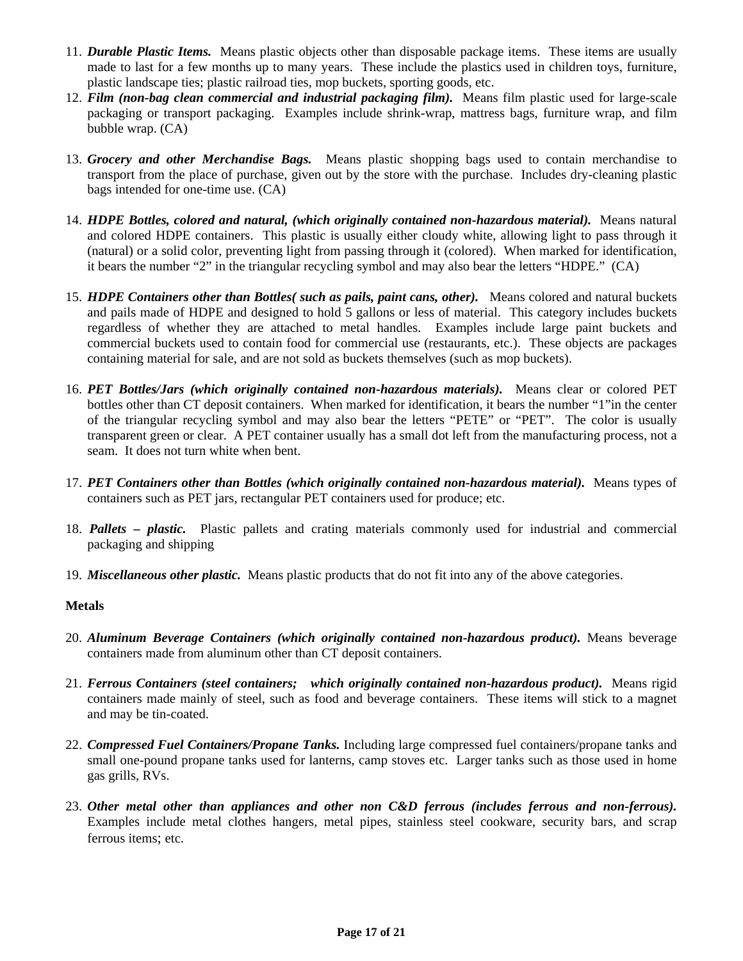- 11. *Durable Plastic Items.* Means plastic objects other than disposable package items. These items are usually made to last for a few months up to many years. These include the plastics used in children toys, furniture, plastic landscape ties; plastic railroad ties, mop buckets, sporting goods, etc.
- 12. *Film (non-bag clean commercial and industrial packaging film).* Means film plastic used for large-scale packaging or transport packaging. Examples include shrink-wrap, mattress bags, furniture wrap, and film bubble wrap. (CA)
- 13. *Grocery and other Merchandise Bags.* Means plastic shopping bags used to contain merchandise to transport from the place of purchase, given out by the store with the purchase. Includes dry-cleaning plastic bags intended for one-time use. (CA)
- 14. *HDPE Bottles, colored and natural, (which originally contained non-hazardous material).* Means natural and colored HDPE containers. This plastic is usually either cloudy white, allowing light to pass through it (natural) or a solid color, preventing light from passing through it (colored). When marked for identification, it bears the number "2" in the triangular recycling symbol and may also bear the letters "HDPE." (CA)
- 15. *HDPE Containers other than Bottles( such as pails, paint cans, other).* Means colored and natural buckets and pails made of HDPE and designed to hold 5 gallons or less of material. This category includes buckets regardless of whether they are attached to metal handles. Examples include large paint buckets and commercial buckets used to contain food for commercial use (restaurants, etc.). These objects are packages containing material for sale, and are not sold as buckets themselves (such as mop buckets).
- 16. *PET Bottles/Jars (which originally contained non-hazardous materials).* Means clear or colored PET bottles other than CT deposit containers. When marked for identification, it bears the number "1"in the center of the triangular recycling symbol and may also bear the letters "PETE" or "PET". The color is usually transparent green or clear. A PET container usually has a small dot left from the manufacturing process, not a seam. It does not turn white when bent.
- 17. *PET Containers other than Bottles (which originally contained non-hazardous material).* Means types of containers such as PET jars, rectangular PET containers used for produce; etc.
- 18. *Pallets plastic.* Plastic pallets and crating materials commonly used for industrial and commercial packaging and shipping
- 19. *Miscellaneous other plastic.* Means plastic products that do not fit into any of the above categories.

### **Metals**

- 20. *Aluminum Beverage Containers (which originally contained non-hazardous product).* Means beverage containers made from aluminum other than CT deposit containers.
- 21. *Ferrous Containers (steel containers; which originally contained non-hazardous product).* Means rigid containers made mainly of steel, such as food and beverage containers. These items will stick to a magnet and may be tin-coated.
- 22. *Compressed Fuel Containers/Propane Tanks.* Including large compressed fuel containers/propane tanks and small one-pound propane tanks used for lanterns, camp stoves etc. Larger tanks such as those used in home gas grills, RVs.
- 23. *Other metal other than appliances and other non C&D ferrous (includes ferrous and non-ferrous).*  Examples include metal clothes hangers, metal pipes, stainless steel cookware, security bars, and scrap ferrous items; etc.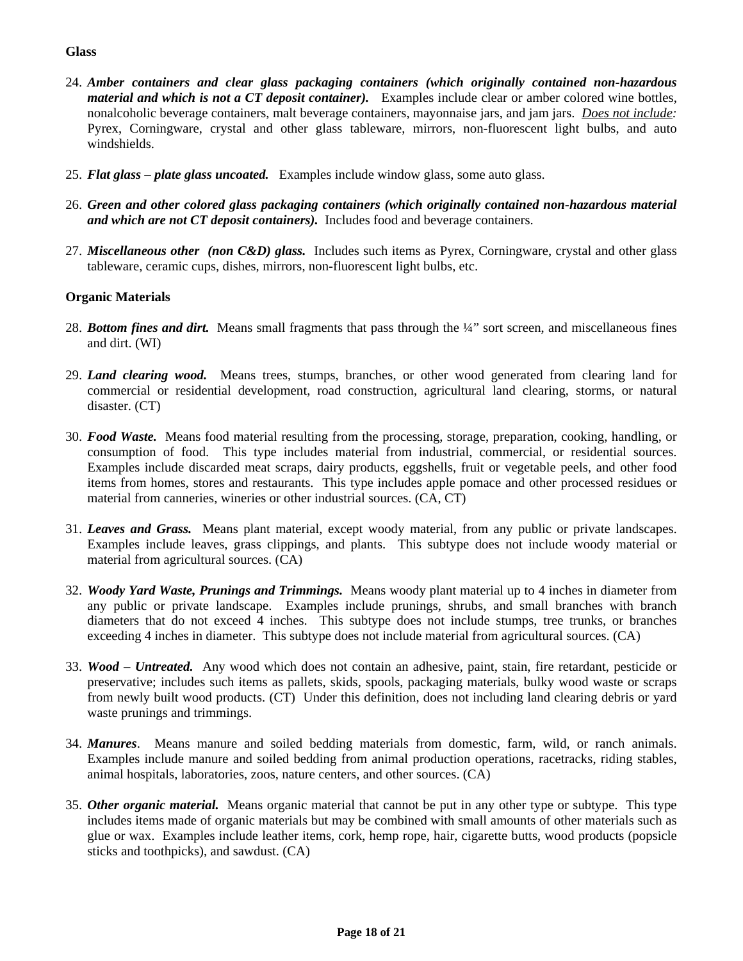## **Glass**

- 24. *Amber containers and clear glass packaging containers (which originally contained non-hazardous material and which is not a CT deposit container).* Examples include clear or amber colored wine bottles, nonalcoholic beverage containers, malt beverage containers, mayonnaise jars, and jam jars. *Does not include:* Pyrex, Corningware, crystal and other glass tableware, mirrors, non-fluorescent light bulbs, and auto windshields.
- 25. *Flat glass plate glass uncoated.* Examples include window glass, some auto glass.
- 26. *Green and other colored glass packaging containers (which originally contained non-hazardous material and which are not CT deposit containers).* Includes food and beverage containers.
- 27. *Miscellaneous other (non C&D) glass.* Includes such items as Pyrex, Corningware, crystal and other glass tableware, ceramic cups, dishes, mirrors, non-fluorescent light bulbs, etc.

### **Organic Materials**

- 28. *Bottom fines and dirt.* Means small fragments that pass through the ¼" sort screen, and miscellaneous fines and dirt. (WI)
- 29. *Land clearing wood.* Means trees, stumps, branches, or other wood generated from clearing land for commercial or residential development, road construction, agricultural land clearing, storms, or natural disaster. (CT)
- 30. *Food Waste.* Means food material resulting from the processing, storage, preparation, cooking, handling, or consumption of food. This type includes material from industrial, commercial, or residential sources. Examples include discarded meat scraps, dairy products, eggshells, fruit or vegetable peels, and other food items from homes, stores and restaurants. This type includes apple pomace and other processed residues or material from canneries, wineries or other industrial sources. (CA, CT)
- 31. *Leaves and Grass.*Means plant material, except woody material, from any public or private landscapes. Examples include leaves, grass clippings, and plants. This subtype does not include woody material or material from agricultural sources. (CA)
- 32. *Woody Yard Waste, Prunings and Trimmings.* Means woody plant material up to 4 inches in diameter from any public or private landscape. Examples include prunings, shrubs, and small branches with branch diameters that do not exceed 4 inches. This subtype does not include stumps, tree trunks, or branches exceeding 4 inches in diameter. This subtype does not include material from agricultural sources. (CA)
- 33. *Wood Untreated.* Any wood which does not contain an adhesive, paint, stain, fire retardant, pesticide or preservative; includes such items as pallets, skids, spools, packaging materials, bulky wood waste or scraps from newly built wood products. (CT) Under this definition, does not including land clearing debris or yard waste prunings and trimmings.
- 34. *Manures*. Means manure and soiled bedding materials from domestic, farm, wild, or ranch animals. Examples include manure and soiled bedding from animal production operations, racetracks, riding stables, animal hospitals, laboratories, zoos, nature centers, and other sources. (CA)
- 35. *Other organic material.* Means organic material that cannot be put in any other type or subtype. This type includes items made of organic materials but may be combined with small amounts of other materials such as glue or wax. Examples include leather items, cork, hemp rope, hair, cigarette butts, wood products (popsicle sticks and toothpicks), and sawdust. (CA)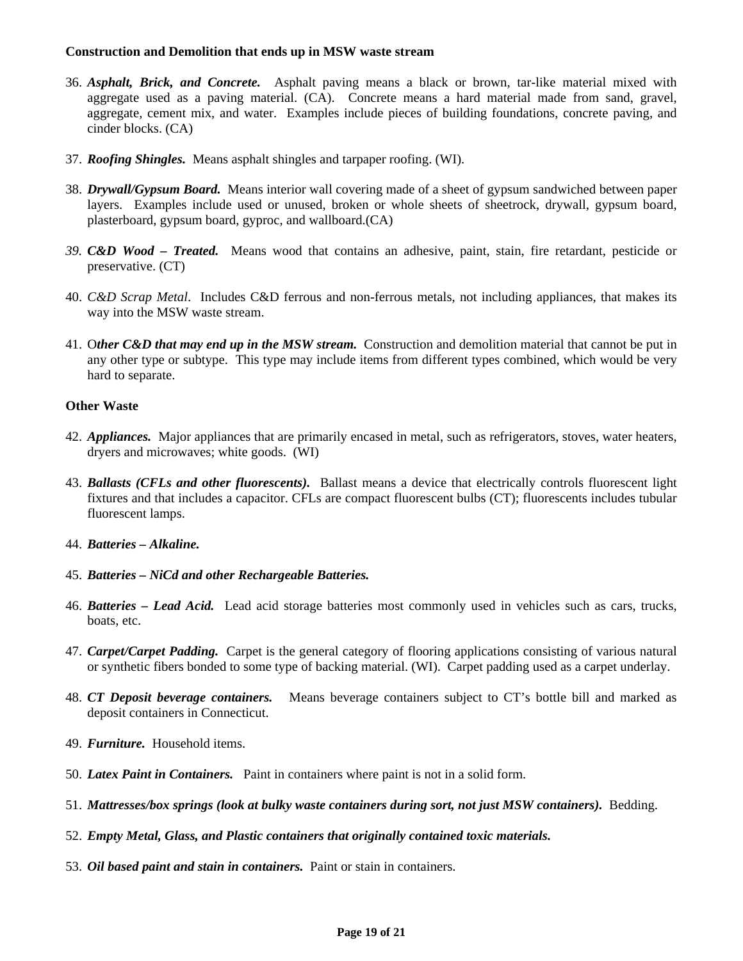### **Construction and Demolition that ends up in MSW waste stream**

- 36. *Asphalt, Brick, and Concrete.* Asphalt paving means a black or brown, tar-like material mixed with aggregate used as a paving material. (CA). Concrete means a hard material made from sand, gravel, aggregate, cement mix, and water. Examples include pieces of building foundations, concrete paving, and cinder blocks. (CA)
- 37. *Roofing Shingles.* Means asphalt shingles and tarpaper roofing. (WI).
- 38. *Drywall/Gypsum Board.* Means interior wall covering made of a sheet of gypsum sandwiched between paper layers. Examples include used or unused, broken or whole sheets of sheetrock, drywall, gypsum board, plasterboard, gypsum board, gyproc, and wallboard.(CA)
- *39. C&D Wood Treated.* Means wood that contains an adhesive, paint, stain, fire retardant, pesticide or preservative. (CT)
- 40. *C&D Scrap Metal*. Includes C&D ferrous and non-ferrous metals, not including appliances, that makes its way into the MSW waste stream.
- 41. O*ther C&D that may end up in the MSW stream.* Construction and demolition material that cannot be put in any other type or subtype. This type may include items from different types combined, which would be very hard to separate.

### **Other Waste**

- 42. *Appliances.* Major appliances that are primarily encased in metal, such as refrigerators, stoves, water heaters, dryers and microwaves; white goods. (WI)
- 43. *Ballasts (CFLs and other fluorescents).* Ballast means a device that electrically controls fluorescent light fixtures and that includes a capacitor. CFLs are compact fluorescent bulbs (CT); fluorescents includes tubular fluorescent lamps.
- 44. *Batteries Alkaline.*
- 45. *Batteries NiCd and other Rechargeable Batteries.*
- 46. *Batteries Lead Acid.* Lead acid storage batteries most commonly used in vehicles such as cars, trucks, boats, etc.
- 47. *Carpet/Carpet Padding.* Carpet is the general category of flooring applications consisting of various natural or synthetic fibers bonded to some type of backing material. (WI). Carpet padding used as a carpet underlay.
- 48. *CT Deposit beverage containers.* Means beverage containers subject to CT's bottle bill and marked as deposit containers in Connecticut.
- 49. *Furniture.* Household items.
- 50. *Latex Paint in Containers.* Paint in containers where paint is not in a solid form.
- 51. *Mattresses/box springs (look at bulky waste containers during sort, not just MSW containers).* Bedding.
- 52. *Empty Metal, Glass, and Plastic containers that originally contained toxic materials.*
- 53. *Oil based paint and stain in containers.* Paint or stain in containers.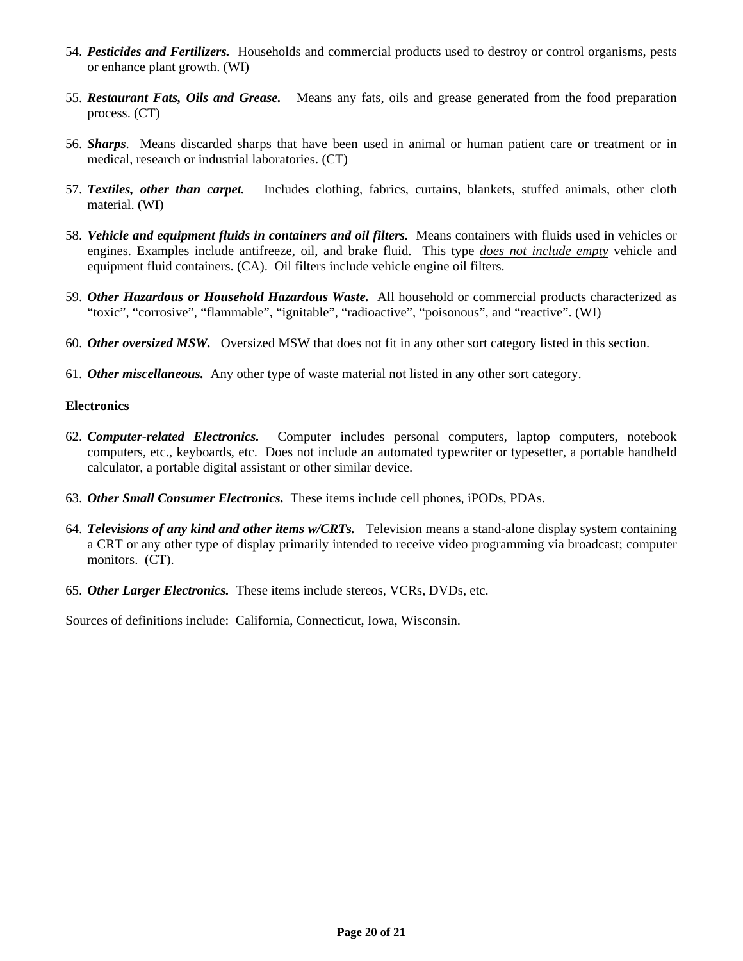- 54. *Pesticides and Fertilizers.* Households and commercial products used to destroy or control organisms, pests or enhance plant growth. (WI)
- 55. *Restaurant Fats, Oils and Grease.* Means any fats, oils and grease generated from the food preparation process. (CT)
- 56. *Sharps*. Means discarded sharps that have been used in animal or human patient care or treatment or in medical, research or industrial laboratories. (CT)
- 57. *Textiles, other than carpet.* Includes clothing, fabrics, curtains, blankets, stuffed animals, other cloth material. (WI)
- 58. *Vehicle and equipment fluids in containers and oil filters.* Means containers with fluids used in vehicles or engines. Examples include antifreeze, oil, and brake fluid. This type *does not include empty* vehicle and equipment fluid containers. (CA). Oil filters include vehicle engine oil filters.
- 59. *Other Hazardous or Household Hazardous Waste.* All household or commercial products characterized as "toxic", "corrosive", "flammable", "ignitable", "radioactive", "poisonous", and "reactive". (WI)
- 60. *Other oversized MSW.* Oversized MSW that does not fit in any other sort category listed in this section.
- 61. *Other miscellaneous.* Any other type of waste material not listed in any other sort category.

### **Electronics**

- 62. *Computer-related Electronics.* Computer includes personal computers, laptop computers, notebook computers, etc., keyboards, etc. Does not include an automated typewriter or typesetter, a portable handheld calculator, a portable digital assistant or other similar device.
- 63. *Other Small Consumer Electronics.* These items include cell phones, iPODs, PDAs.
- 64. *Televisions of any kind and other items w/CRTs.* Television means a stand-alone display system containing a CRT or any other type of display primarily intended to receive video programming via broadcast; computer monitors. (CT).
- 65. *Other Larger Electronics.* These items include stereos, VCRs, DVDs, etc.

Sources of definitions include: California, Connecticut, Iowa, Wisconsin.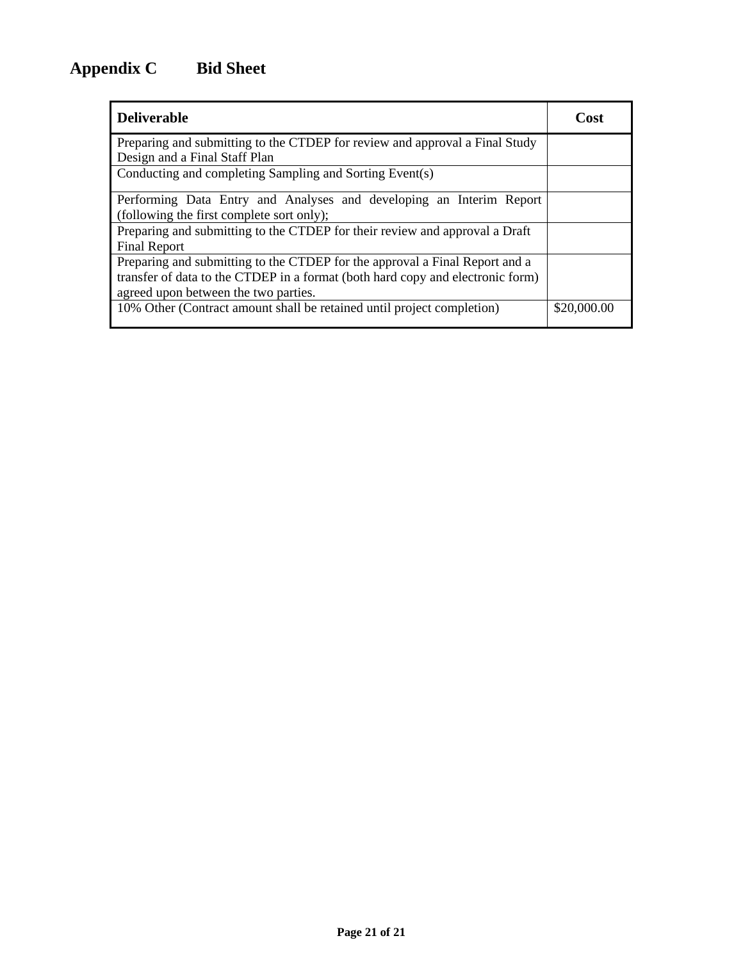<span id="page-20-0"></span>

| <b>Deliverable</b>                                                             | Cost        |
|--------------------------------------------------------------------------------|-------------|
| Preparing and submitting to the CTDEP for review and approval a Final Study    |             |
| Design and a Final Staff Plan                                                  |             |
| Conducting and completing Sampling and Sorting Event(s)                        |             |
| Performing Data Entry and Analyses and developing an Interim Report            |             |
| (following the first complete sort only);                                      |             |
| Preparing and submitting to the CTDEP for their review and approval a Draft    |             |
| <b>Final Report</b>                                                            |             |
| Preparing and submitting to the CTDEP for the approval a Final Report and a    |             |
| transfer of data to the CTDEP in a format (both hard copy and electronic form) |             |
| agreed upon between the two parties.                                           |             |
| 10% Other (Contract amount shall be retained until project completion)         | \$20,000.00 |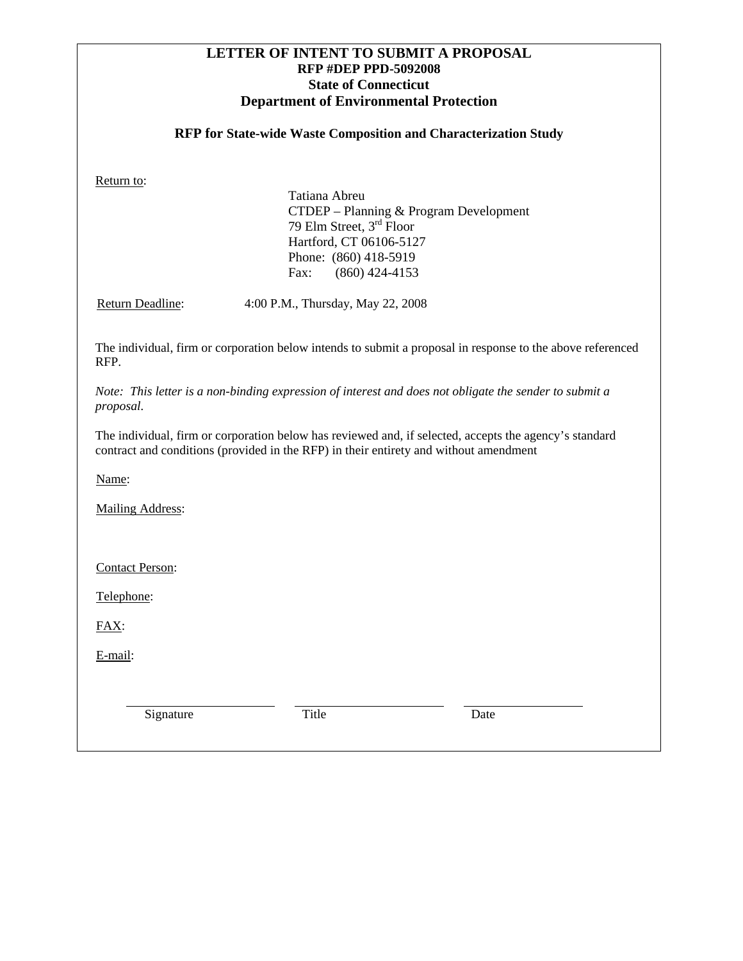### **LETTER OF INTENT TO SUBMIT A PROPOSAL RFP #DEP PPD-5092008 State of Connecticut Department of Environmental Protection**

### **RFP for State-wide Waste Composition and Characterization Study**

<span id="page-21-0"></span>Return to:

Tatiana Abreu CTDEP – Planning & Program Development 79 Elm Street, 3rd Floor Hartford, CT 06106-5127 Phone: (860) 418-5919 Fax: (860) 424-4153

Return Deadline: 4:00 P.M., Thursday, May 22, 2008

The individual, firm or corporation below intends to submit a proposal in response to the above referenced RFP.

*Note: This letter is a non-binding expression of interest and does not obligate the sender to submit a proposal.* 

The individual, firm or corporation below has reviewed and, if selected, accepts the agency's standard contract and conditions (provided in the RFP) in their entirety and without amendment

Name:

Mailing Address:

Contact Person:

Telephone:

FAX:

E-mail:

Signature Title Date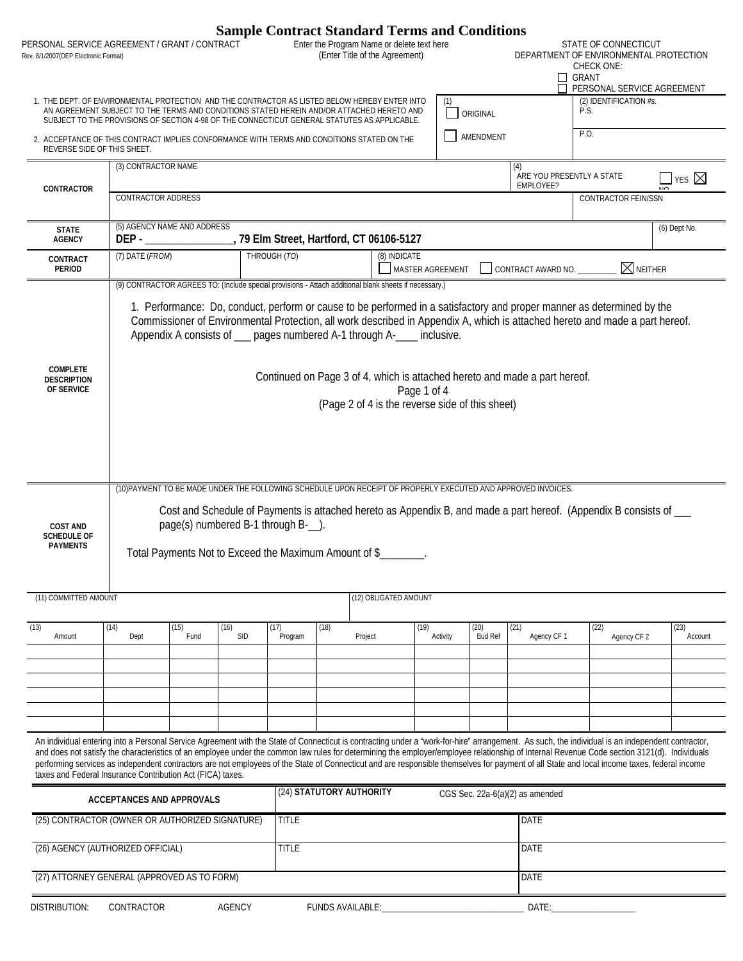<span id="page-22-0"></span>

| Rev. 8/1/2007(DEP Electronic Format)                     | PERSONAL SERVICE AGREEMENT / GRANT / CONTRACT                                                                                                                                                                                                                                                                                                                                                                                                                                                                                                                                                                                                                |                                                                                              |                          |                         | <b>Sample Contract Standard Terms and Conditions</b><br>Enter the Program Name or delete text here<br>(Enter Title of the Agreement) |             |                  |                        |                                 | STATE OF CONNECTICUT<br>DEPARTMENT OF ENVIRONMENTAL PROTECTION<br>CHECK ONE:<br>GRANT<br>PERSONAL SERVICE AGREEMENT                                                                                                                                    |                 |
|----------------------------------------------------------|--------------------------------------------------------------------------------------------------------------------------------------------------------------------------------------------------------------------------------------------------------------------------------------------------------------------------------------------------------------------------------------------------------------------------------------------------------------------------------------------------------------------------------------------------------------------------------------------------------------------------------------------------------------|----------------------------------------------------------------------------------------------|--------------------------|-------------------------|--------------------------------------------------------------------------------------------------------------------------------------|-------------|------------------|------------------------|---------------------------------|--------------------------------------------------------------------------------------------------------------------------------------------------------------------------------------------------------------------------------------------------------|-----------------|
|                                                          | 1. THE DEPT. OF ENVIRONMENTAL PROTECTION AND THE CONTRACTOR AS LISTED BELOW HEREBY ENTER INTO<br>AN AGREEMENT SUBJECT TO THE TERMS AND CONDITIONS STATED HEREIN AND/OR ATTACHED HERETO AND<br>SUBJECT TO THE PROVISIONS OF SECTION 4-98 OF THE CONNECTICUT GENERAL STATUTES AS APPLICABLE.                                                                                                                                                                                                                                                                                                                                                                   |                                                                                              |                          |                         |                                                                                                                                      |             | (1)              | ORIGINAL               |                                 | (2) IDENTIFICATION #s.<br>P.S.                                                                                                                                                                                                                         |                 |
| REVERSE SIDE OF THIS SHEET.                              | 2. ACCEPTANCE OF THIS CONTRACT IMPLIES CONFORMANCE WITH TERMS AND CONDITIONS STATED ON THE                                                                                                                                                                                                                                                                                                                                                                                                                                                                                                                                                                   |                                                                                              |                          |                         |                                                                                                                                      |             |                  | AMENDMENT              |                                 | P.O.                                                                                                                                                                                                                                                   |                 |
|                                                          |                                                                                                                                                                                                                                                                                                                                                                                                                                                                                                                                                                                                                                                              | (3) CONTRACTOR NAME<br>(4)                                                                   |                          |                         |                                                                                                                                      |             |                  |                        |                                 | ARE YOU PRESENTLY A STATE<br>$\exists$ yes $\boxtimes$                                                                                                                                                                                                 |                 |
| CONTRACTOR                                               | EMPLOYEE?<br>CONTRACTOR ADDRESS<br><b>CONTRACTOR FEIN/SSN</b>                                                                                                                                                                                                                                                                                                                                                                                                                                                                                                                                                                                                |                                                                                              |                          |                         |                                                                                                                                      |             |                  |                        |                                 |                                                                                                                                                                                                                                                        |                 |
| <b>STATE</b><br><b>AGENCY</b>                            | (5) AGENCY NAME AND ADDRESS                                                                                                                                                                                                                                                                                                                                                                                                                                                                                                                                                                                                                                  |                                                                                              |                          |                         |                                                                                                                                      |             |                  |                        |                                 |                                                                                                                                                                                                                                                        | (6) Dept No.    |
| CONTRACT<br><b>PERIOD</b>                                | (7) DATE (FROM)                                                                                                                                                                                                                                                                                                                                                                                                                                                                                                                                                                                                                                              |                                                                                              | THROUGH (TO)             |                         | (8) INDICATE                                                                                                                         |             | MASTER AGREEMENT |                        | CONTRACT AWARD NO.              | $\boxtimes$ neither                                                                                                                                                                                                                                    |                 |
| <b>COMPLETE</b>                                          |                                                                                                                                                                                                                                                                                                                                                                                                                                                                                                                                                                                                                                                              | Appendix A consists of ___ pages numbered A-1 through A-___ inclusive.                       |                          |                         |                                                                                                                                      |             |                  |                        |                                 | 1. Performance: Do, conduct, perform or cause to be performed in a satisfactory and proper manner as determined by the<br>Commissioner of Environmental Protection, all work described in Appendix A, which is attached hereto and made a part hereof. |                 |
| <b>DESCRIPTION</b><br>OF SERVICE                         |                                                                                                                                                                                                                                                                                                                                                                                                                                                                                                                                                                                                                                                              |                                                                                              |                          |                         | Continued on Page 3 of 4, which is attached hereto and made a part hereof.<br>(Page 2 of 4 is the reverse side of this sheet)        | Page 1 of 4 |                  |                        |                                 |                                                                                                                                                                                                                                                        |                 |
| <b>COST AND</b><br><b>SCHEDULE OF</b><br><b>PAYMENTS</b> | (10) PAYMENT TO BE MADE UNDER THE FOLLOWING SCHEDULE UPON RECEIPT OF PROPERLY EXECUTED AND APPROVED INVOICES.                                                                                                                                                                                                                                                                                                                                                                                                                                                                                                                                                | page(s) numbered B-1 through B-__).<br>Total Payments Not to Exceed the Maximum Amount of \$ |                          |                         |                                                                                                                                      |             |                  |                        |                                 | Cost and Schedule of Payments is attached hereto as Appendix B, and made a part hereof. (Appendix B consists of ___                                                                                                                                    |                 |
| (11) COMMITTED AMOUNT                                    |                                                                                                                                                                                                                                                                                                                                                                                                                                                                                                                                                                                                                                                              |                                                                                              |                          |                         | (12) OBLIGATED AMOUNT                                                                                                                |             |                  |                        |                                 |                                                                                                                                                                                                                                                        |                 |
| (13)<br>Amount                                           | (14)<br>(15)<br>Dept                                                                                                                                                                                                                                                                                                                                                                                                                                                                                                                                                                                                                                         | (16)<br><b>SID</b><br>Fund                                                                   | (17)<br>Program          | (18)                    | Project                                                                                                                              | (19)        | Activity         | (20)<br><b>Bud Ref</b> | (21)<br>Agency CF 1             | (22)<br>Agency CF 2                                                                                                                                                                                                                                    | (23)<br>Account |
|                                                          |                                                                                                                                                                                                                                                                                                                                                                                                                                                                                                                                                                                                                                                              |                                                                                              |                          |                         |                                                                                                                                      |             |                  |                        |                                 |                                                                                                                                                                                                                                                        |                 |
|                                                          |                                                                                                                                                                                                                                                                                                                                                                                                                                                                                                                                                                                                                                                              |                                                                                              |                          |                         |                                                                                                                                      |             |                  |                        |                                 |                                                                                                                                                                                                                                                        |                 |
|                                                          | An individual entering into a Personal Service Agreement with the State of Connecticut is contracting under a "work-for-hire" arrangement. As such, the individual is an independent contractor,<br>and does not satisfy the characteristics of an employee under the common law rules for determining the employer/employee relationship of Internal Revenue Code section 3121(d). Individuals<br>performing services as independent contractors are not employees of the State of Connecticut and are responsible themselves for payment of all State and local income taxes, federal income<br>taxes and Federal Insurance Contribution Act (FICA) taxes. |                                                                                              |                          |                         |                                                                                                                                      |             |                  |                        |                                 |                                                                                                                                                                                                                                                        |                 |
|                                                          | <b>ACCEPTANCES AND APPROVALS</b>                                                                                                                                                                                                                                                                                                                                                                                                                                                                                                                                                                                                                             |                                                                                              | (24) STATUTORY AUTHORITY |                         |                                                                                                                                      |             |                  |                        | CGS Sec. 22a-6(a)(2) as amended |                                                                                                                                                                                                                                                        |                 |
|                                                          | (25) CONTRACTOR (OWNER OR AUTHORIZED SIGNATURE)                                                                                                                                                                                                                                                                                                                                                                                                                                                                                                                                                                                                              |                                                                                              | <b>TITLE</b>             |                         |                                                                                                                                      |             |                  |                        | DATE                            |                                                                                                                                                                                                                                                        |                 |
|                                                          | (26) AGENCY (AUTHORIZED OFFICIAL)                                                                                                                                                                                                                                                                                                                                                                                                                                                                                                                                                                                                                            |                                                                                              | <b>TITLE</b>             |                         |                                                                                                                                      |             |                  |                        | DATE                            |                                                                                                                                                                                                                                                        |                 |
|                                                          | (27) ATTORNEY GENERAL (APPROVED AS TO FORM)                                                                                                                                                                                                                                                                                                                                                                                                                                                                                                                                                                                                                  |                                                                                              |                          |                         |                                                                                                                                      |             |                  |                        | DATE                            |                                                                                                                                                                                                                                                        |                 |
| DISTRIBUTION:                                            | CONTRACTOR                                                                                                                                                                                                                                                                                                                                                                                                                                                                                                                                                                                                                                                   | <b>AGENCY</b>                                                                                |                          | <b>FUNDS AVAILABLE:</b> |                                                                                                                                      |             |                  |                        |                                 | DATE: and the state of the state of the state of the state of the state of the state of the state of the state of the state of the state of the state of the state of the state of the state of the state of the state of the                          |                 |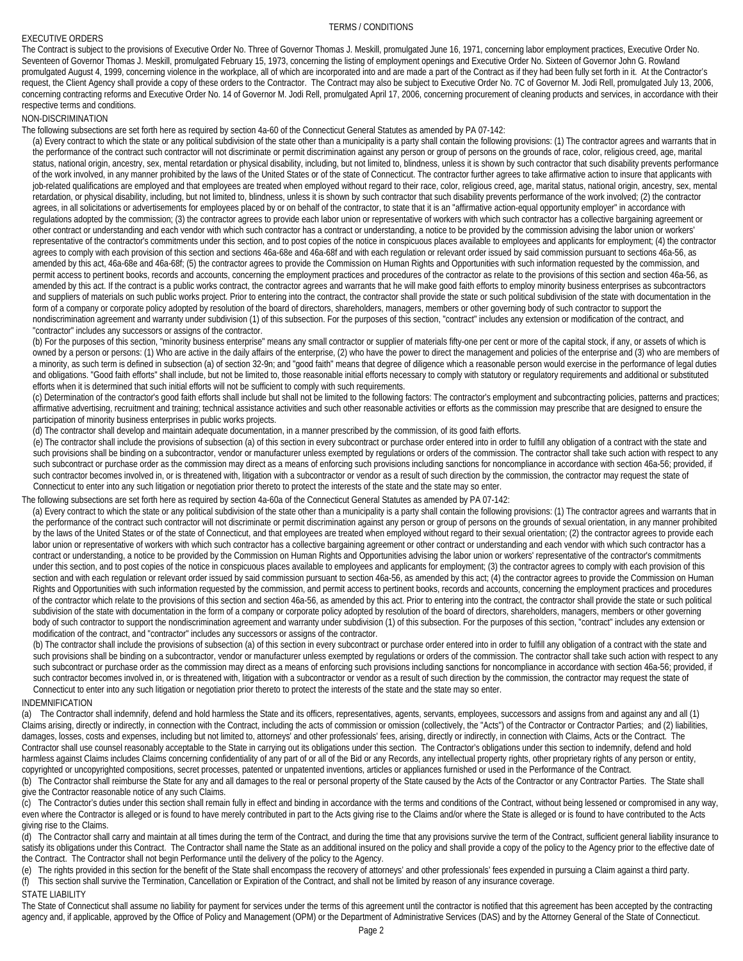### EXECUTIVE ORDERS

#### TERMS / CONDITIONS

The Contract is subject to the provisions of Executive Order No. Three of Governor Thomas J. Meskill, promulgated June 16, 1971, concerning labor employment practices, Executive Order No. Seventeen of Governor Thomas J. Meskill, promulgated February 15, 1973, concerning the listing of employment openings and Executive Order No. Sixteen of Governor John G. Rowland promulgated August 4, 1999, concerning violence in the workplace, all of which are incorporated into and are made a part of the Contract as if they had been fully set forth in it. At the Contractor's request, the Client Agency shall provide a copy of these orders to the Contractor. The Contract may also be subject to Executive Order No. 7C of Governor M. Jodi Rell, promulgated July 13, 2006, concerning contracting reforms and Executive Order No. 14 of Governor M. Jodi Rell, promulgated April 17, 2006, concerning procurement of cleaning products and services, in accordance with their respective terms and conditions.

### NON-DISCRIMINATION

The following subsections are set forth here as required by section 4a-60 of the Connecticut General Statutes as amended by PA 07-142:

(a) Every contract to which the state or any political subdivision of the state other than a municipality is a party shall contain the following provisions: (1) The contractor agrees and warrants that in the performance of the contract such contractor will not discriminate or permit discrimination against any person or group of persons on the grounds of race, color, religious creed, age, marital status, national origin, ancestry, sex, mental retardation or physical disability, including, but not limited to, blindness, unless it is shown by such contractor that such disability prevents performance of the work involved, in any manner prohibited by the laws of the United States or of the state of Connecticut. The contractor further agrees to take affirmative action to insure that applicants with job-related qualifications are employed and that employees are treated when employed without regard to their race, color, religious creed, age, marital status, national origin, ancestry, sex, mental retardation, or physical disability, including, but not limited to, blindness, unless it is shown by such contractor that such disability prevents performance of the work involved; (2) the contractor agrees, in all solicitations or advertisements for employees placed by or on behalf of the contractor, to state that it is an "affirmative action-equal opportunity employer" in accordance with regulations adopted by the commission; (3) the contractor agrees to provide each labor union or representative of workers with which such contractor has a collective bargaining agreement or other contract or understanding and each vendor with which such contractor has a contract or understanding, a notice to be provided by the commission advising the labor union or workers' representative of the contractor's commitments under this section, and to post copies of the notice in conspicuous places available to employees and applicants for employment; (4) the contractor agrees to comply with each provision of this section and sections 46a-68e and 46a-68f and with each regulation or relevant order issued by said commission pursuant to sections 46a-56, as amended by this act, 46a-68e and 46a-68f; (5) the contractor agrees to provide the Commission on Human Rights and Opportunities with such information requested by the commission, and permit access to pertinent books, records and accounts, concerning the employment practices and procedures of the contractor as relate to the provisions of this section and section 46a-56, as amended by this act. If the contract is a public works contract, the contractor agrees and warrants that he will make good faith efforts to employ minority business enterprises as subcontractors and suppliers of materials on such public works project. Prior to entering into the contract, the contractor shall provide the state or such political subdivision of the state with documentation in the form of a company or corporate policy adopted by resolution of the board of directors, shareholders, managers, members or other governing body of such contractor to support the nondiscrimination agreement and warranty under subdivision (1) of this subsection. For the purposes of this section, "contract" includes any extension or modification of the contract, and "contractor" includes any successors or assigns of the contractor.

(b) For the purposes of this section, "minority business enterprise" means any small contractor or supplier of materials fifty-one per cent or more of the capital stock, if any, or assets of which is owned by a person or persons: (1) Who are active in the daily affairs of the enterprise, (2) who have the power to direct the management and policies of the enterprise and (3) who are members of a minority, as such term is defined in subsection (a) of section 32-9n; and "good faith" means that degree of diligence which a reasonable person would exercise in the performance of legal duties and obligations. "Good faith efforts" shall include, but not be limited to, those reasonable initial efforts necessary to comply with statutory or regulatory requirements and additional or substituted efforts when it is determined that such initial efforts will not be sufficient to comply with such requirements.

(c) Determination of the contractor's good faith efforts shall include but shall not be limited to the following factors: The contractor's employment and subcontracting policies, patterns and practices; affirmative advertising, recruitment and training; technical assistance activities and such other reasonable activities or efforts as the commission may prescribe that are designed to ensure the participation of minority business enterprises in public works projects.

(d) The contractor shall develop and maintain adequate documentation, in a manner prescribed by the commission, of its good faith efforts.

(e) The contractor shall include the provisions of subsection (a) of this section in every subcontract or purchase order entered into in order to fulfill any obligation of a contract with the state and such provisions shall be binding on a subcontractor, vendor or manufacturer unless exempted by regulations or orders of the commission. The contractor shall take such action with respect to any such subcontract or purchase order as the commission may direct as a means of enforcing such provisions including sanctions for noncompliance in accordance with section 46a-56; provided, if such contractor becomes involved in, or is threatened with, litigation with a subcontractor or vendor as a result of such direction by the commission, the contractor may request the state of Connecticut to enter into any such litigation or negotiation prior thereto to protect the interests of the state and the state may so enter.

### The following subsections are set forth here as required by section 4a-60a of the Connecticut General Statutes as amended by PA 07-142:

(a) Every contract to which the state or any political subdivision of the state other than a municipality is a party shall contain the following provisions: (1) The contractor agrees and warrants that in the performance of the contract such contractor will not discriminate or permit discrimination against any person or group of persons on the grounds of sexual orientation, in any manner prohibited by the laws of the United States or of the state of Connecticut, and that employees are treated when employed without regard to their sexual orientation; (2) the contractor agrees to provide each labor union or representative of workers with which such contractor has a collective bargaining agreement or other contract or understanding and each vendor with which such contractor has a contract or understanding, a notice to be provided by the Commission on Human Rights and Opportunities advising the labor union or workers' representative of the contractor's commitments under this section, and to post copies of the notice in conspicuous places available to employees and applicants for employment; (3) the contractor agrees to comply with each provision of this section and with each regulation or relevant order issued by said commission pursuant to section 46a-56, as amended by this act; (4) the contractor agrees to provide the Commission on Human Rights and Opportunities with such information requested by the commission, and permit access to pertinent books, records and accounts, concerning the employment practices and procedures of the contractor which relate to the provisions of this section and section 46a-56, as amended by this act. Prior to entering into the contract, the contractor shall provide the state or such political subdivision of the state with documentation in the form of a company or corporate policy adopted by resolution of the board of directors, shareholders, managers, members or other governing body of such contractor to support the nondiscrimination agreement and warranty under subdivision (1) of this subsection. For the purposes of this section, "contract" includes any extension or modification of the contract, and "contractor" includes any successors or assigns of the contractor.

(b) The contractor shall include the provisions of subsection (a) of this section in every subcontract or purchase order entered into in order to fulfill any obligation of a contract with the state and such provisions shall be binding on a subcontractor, vendor or manufacturer unless exempted by regulations or orders of the commission. The contractor shall take such action with respect to any such subcontract or purchase order as the commission may direct as a means of enforcing such provisions including sanctions for noncompliance in accordance with section 46a-56; provided, if such contractor becomes involved in, or is threatened with, litigation with a subcontractor or vendor as a result of such direction by the commission, the contractor may request the state of Connecticut to enter into any such litigation or negotiation prior thereto to protect the interests of the state and the state may so enter.

### INDEMNIFICATION

(a) The Contractor shall indemnify, defend and hold harmless the State and its officers, representatives, agents, servants, employees, successors and assigns from and against any and all (1) Claims arising, directly or indirectly, in connection with the Contract, including the acts of commission or omission (collectively, the "Acts") of the Contractor or Contractor Parties; and (2) liabilities, damages, losses, costs and expenses, including but not limited to, attorneys' and other professionals' fees, arising, directly or indirectly, in connection with Claims, Acts or the Contract. The Contractor shall use counsel reasonably acceptable to the State in carrying out its obligations under this section. The Contractor's obligations under this section to indemnify, defend and hold harmless against Claims includes Claims concerning confidentiality of any part of or all of the Bid or any Records, any intellectual property rights, other proprietary rights of any person or entity, copyrighted or uncopyrighted compositions, secret processes, patented or unpatented inventions, articles or appliances furnished or used in the Performance of the Contract.

(b) The Contractor shall reimburse the State for any and all damages to the real or personal property of the State caused by the Acts of the Contractor or any Contractor Parties. The State shall give the Contractor reasonable notice of any such Claims.

(c) The Contractor's duties under this section shall remain fully in effect and binding in accordance with the terms and conditions of the Contract, without being lessened or compromised in any way, even where the Contractor is alleged or is found to have merely contributed in part to the Acts giving rise to the Claims and/or where the State is alleged or is found to have contributed to the Acts giving rise to the Claims.

(d) The Contractor shall carry and maintain at all times during the term of the Contract, and during the time that any provisions survive the term of the Contract, sufficient general liability insurance to satisfy its obligations under this Contract. The Contractor shall name the State as an additional insured on the policy and shall provide a copy of the policy to the Agency prior to the effective date of the Contract. The Contractor shall not begin Performance until the delivery of the policy to the Agency.

(e) The rights provided in this section for the benefit of the State shall encompass the recovery of attorneys' and other professionals' fees expended in pursuing a Claim against a third party. (f) This section shall survive the Termination, Cancellation or Expiration of the Contract, and shall not be limited by reason of any insurance coverage.

### STATE LIABILITY

The State of Connecticut shall assume no liability for payment for services under the terms of this agreement until the contractor is notified that this agreement has been accepted by the contracting agency and, if applicable, approved by the Office of Policy and Management (OPM) or the Department of Administrative Services (DAS) and by the Attorney General of the State of Connecticut.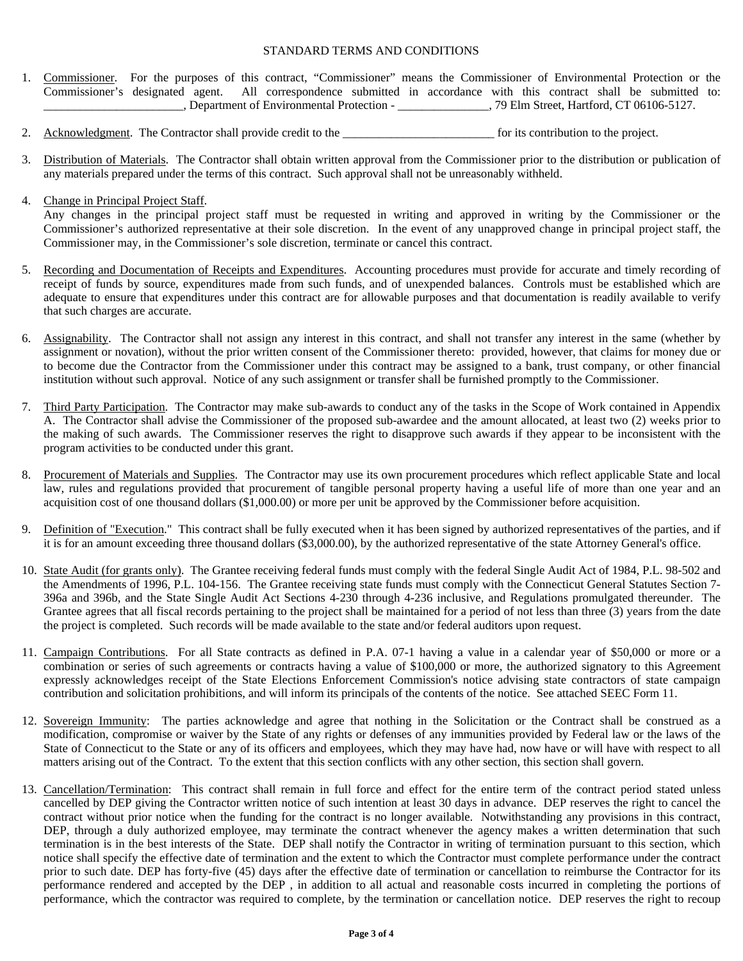### STANDARD TERMS AND CONDITIONS

- 1. Commissioner. For the purposes of this contract, "Commissioner" means the Commissioner of Environmental Protection or the Commissioner's designated agent. All correspondence submitted in accordance with this contract shall be submitted to: \_\_\_\_\_\_\_\_\_\_\_\_\_\_\_\_\_\_\_\_\_\_\_, Department of Environmental Protection - \_\_\_\_\_\_\_\_\_\_\_\_\_\_\_, 79 Elm Street, Hartford, CT 06106-5127.
- 2. Acknowledgment. The Contractor shall provide credit to the \_\_\_\_\_\_\_\_\_\_\_\_\_\_\_\_\_\_\_\_\_\_\_\_\_ for its contribution to the project.
- 3. Distribution of Materials. The Contractor shall obtain written approval from the Commissioner prior to the distribution or publication of any materials prepared under the terms of this contract. Such approval shall not be unreasonably withheld.
- 4. Change in Principal Project Staff.

 Any changes in the principal project staff must be requested in writing and approved in writing by the Commissioner or the Commissioner's authorized representative at their sole discretion. In the event of any unapproved change in principal project staff, the Commissioner may, in the Commissioner's sole discretion, terminate or cancel this contract.

- 5. Recording and Documentation of Receipts and Expenditures. Accounting procedures must provide for accurate and timely recording of receipt of funds by source, expenditures made from such funds, and of unexpended balances. Controls must be established which are adequate to ensure that expenditures under this contract are for allowable purposes and that documentation is readily available to verify that such charges are accurate.
- 6. Assignability. The Contractor shall not assign any interest in this contract, and shall not transfer any interest in the same (whether by assignment or novation), without the prior written consent of the Commissioner thereto: provided, however, that claims for money due or to become due the Contractor from the Commissioner under this contract may be assigned to a bank, trust company, or other financial institution without such approval. Notice of any such assignment or transfer shall be furnished promptly to the Commissioner.
- 7. Third Party Participation. The Contractor may make sub-awards to conduct any of the tasks in the Scope of Work contained in Appendix A. The Contractor shall advise the Commissioner of the proposed sub-awardee and the amount allocated, at least two (2) weeks prior to the making of such awards. The Commissioner reserves the right to disapprove such awards if they appear to be inconsistent with the program activities to be conducted under this grant.
- 8. Procurement of Materials and Supplies. The Contractor may use its own procurement procedures which reflect applicable State and local law, rules and regulations provided that procurement of tangible personal property having a useful life of more than one year and an acquisition cost of one thousand dollars (\$1,000.00) or more per unit be approved by the Commissioner before acquisition.
- 9. Definition of "Execution." This contract shall be fully executed when it has been signed by authorized representatives of the parties, and if it is for an amount exceeding three thousand dollars (\$3,000.00), by the authorized representative of the state Attorney General's office.
- 10. State Audit (for grants only). The Grantee receiving federal funds must comply with the federal Single Audit Act of 1984, P.L. 98-502 and the Amendments of 1996, P.L. 104-156. The Grantee receiving state funds must comply with the Connecticut General Statutes Section 7- 396a and 396b, and the State Single Audit Act Sections 4-230 through 4-236 inclusive, and Regulations promulgated thereunder. The Grantee agrees that all fiscal records pertaining to the project shall be maintained for a period of not less than three (3) years from the date the project is completed. Such records will be made available to the state and/or federal auditors upon request.
- 11. Campaign Contributions. For all State contracts as defined in P.A. 07-1 having a value in a calendar year of \$50,000 or more or a combination or series of such agreements or contracts having a value of \$100,000 or more, the authorized signatory to this Agreement expressly acknowledges receipt of the State Elections Enforcement Commission's notice advising state contractors of state campaign contribution and solicitation prohibitions, and will inform its principals of the contents of the notice. See attached SEEC Form 11.
- 12. Sovereign Immunity: The parties acknowledge and agree that nothing in the Solicitation or the Contract shall be construed as a modification, compromise or waiver by the State of any rights or defenses of any immunities provided by Federal law or the laws of the State of Connecticut to the State or any of its officers and employees, which they may have had, now have or will have with respect to all matters arising out of the Contract. To the extent that this section conflicts with any other section, this section shall govern.
- 13. Cancellation/Termination: This contract shall remain in full force and effect for the entire term of the contract period stated unless cancelled by DEP giving the Contractor written notice of such intention at least 30 days in advance. DEP reserves the right to cancel the contract without prior notice when the funding for the contract is no longer available. Notwithstanding any provisions in this contract, DEP, through a duly authorized employee, may terminate the contract whenever the agency makes a written determination that such termination is in the best interests of the State. DEP shall notify the Contractor in writing of termination pursuant to this section, which notice shall specify the effective date of termination and the extent to which the Contractor must complete performance under the contract prior to such date. DEP has forty-five (45) days after the effective date of termination or cancellation to reimburse the Contractor for its performance rendered and accepted by the DEP , in addition to all actual and reasonable costs incurred in completing the portions of performance, which the contractor was required to complete, by the termination or cancellation notice. DEP reserves the right to recoup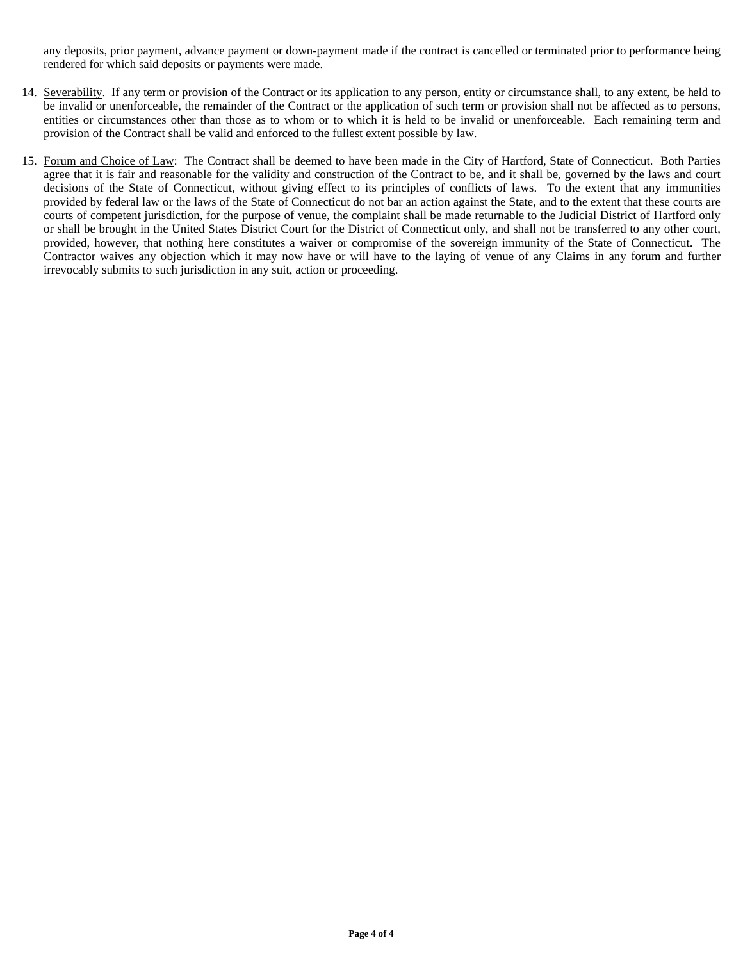any deposits, prior payment, advance payment or down-payment made if the contract is cancelled or terminated prior to performance being rendered for which said deposits or payments were made.

- 14. Severability. If any term or provision of the Contract or its application to any person, entity or circumstance shall, to any extent, be held to be invalid or unenforceable, the remainder of the Contract or the application of such term or provision shall not be affected as to persons, entities or circumstances other than those as to whom or to which it is held to be invalid or unenforceable. Each remaining term and provision of the Contract shall be valid and enforced to the fullest extent possible by law.
- 15. Forum and Choice of Law: The Contract shall be deemed to have been made in the City of Hartford, State of Connecticut. Both Parties agree that it is fair and reasonable for the validity and construction of the Contract to be, and it shall be, governed by the laws and court decisions of the State of Connecticut, without giving effect to its principles of conflicts of laws. To the extent that any immunities provided by federal law or the laws of the State of Connecticut do not bar an action against the State, and to the extent that these courts are courts of competent jurisdiction, for the purpose of venue, the complaint shall be made returnable to the Judicial District of Hartford only or shall be brought in the United States District Court for the District of Connecticut only, and shall not be transferred to any other court, provided, however, that nothing here constitutes a waiver or compromise of the sovereign immunity of the State of Connecticut. The Contractor waives any objection which it may now have or will have to the laying of venue of any Claims in any forum and further irrevocably submits to such jurisdiction in any suit, action or proceeding.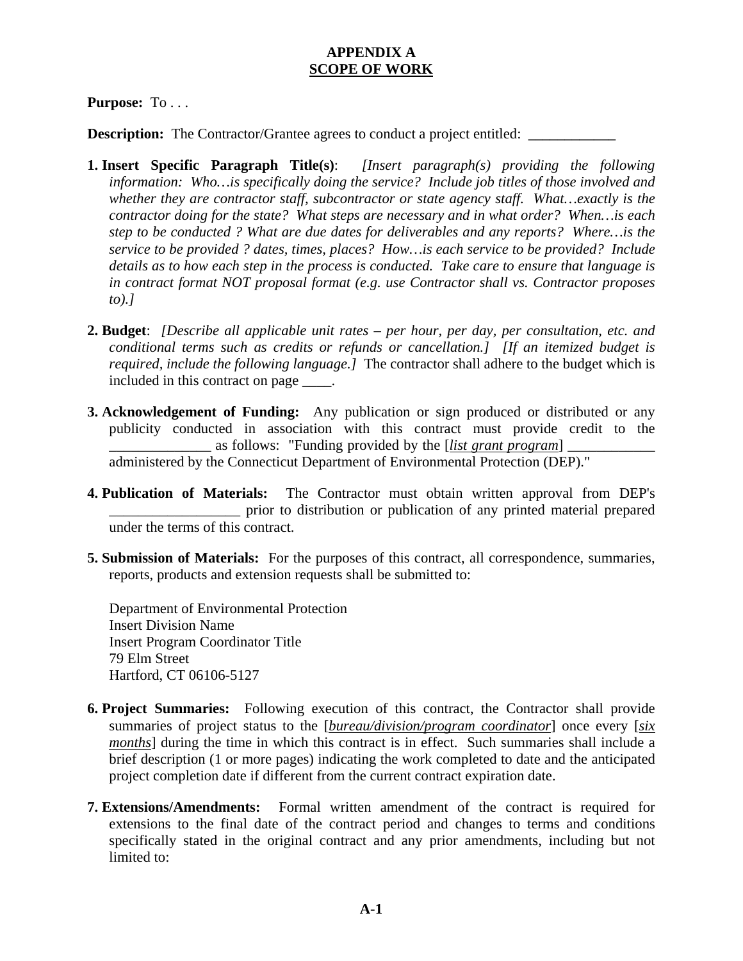# **APPENDIX A SCOPE OF WORK**

# **Purpose:** To . . .

**Description:** The Contractor/Grantee agrees to conduct a project entitled:

- **1. Insert Specific Paragraph Title(s)**: *[Insert paragraph(s) providing the following information: Who…is specifically doing the service? Include job titles of those involved and whether they are contractor staff, subcontractor or state agency staff. What…exactly is the contractor doing for the state? What steps are necessary and in what order? When…is each step to be conducted ? What are due dates for deliverables and any reports? Where…is the service to be provided ? dates, times, places? How…is each service to be provided? Include details as to how each step in the process is conducted. Take care to ensure that language is in contract format NOT proposal format (e.g. use Contractor shall vs. Contractor proposes to).]*
- **2. Budget**: *[Describe all applicable unit rates per hour, per day, per consultation, etc. and conditional terms such as credits or refunds or cancellation.] [If an itemized budget is required, include the following language.]* The contractor shall adhere to the budget which is included in this contract on page \_\_\_\_.
- **3. Acknowledgement of Funding:** Any publication or sign produced or distributed or any publicity conducted in association with this contract must provide credit to the \_\_\_\_\_\_\_\_\_\_\_\_\_\_ as follows: "Funding provided by the [*list grant program*] \_\_\_\_\_\_\_\_\_\_\_\_ administered by the Connecticut Department of Environmental Protection (DEP)."
- **4. Publication of Materials:** The Contractor must obtain written approval from DEP's prior to distribution or publication of any printed material prepared under the terms of this contract.
- **5. Submission of Materials:** For the purposes of this contract, all correspondence, summaries, reports, products and extension requests shall be submitted to:

Department of Environmental Protection Insert Division Name Insert Program Coordinator Title 79 Elm Street Hartford, CT 06106-5127

- **6. Project Summaries:** Following execution of this contract, the Contractor shall provide summaries of project status to the [*bureau/division/program coordinator*] once every [*six months*] during the time in which this contract is in effect. Such summaries shall include a brief description (1 or more pages) indicating the work completed to date and the anticipated project completion date if different from the current contract expiration date.
- **7. Extensions/Amendments:** Formal written amendment of the contract is required for extensions to the final date of the contract period and changes to terms and conditions specifically stated in the original contract and any prior amendments, including but not limited to: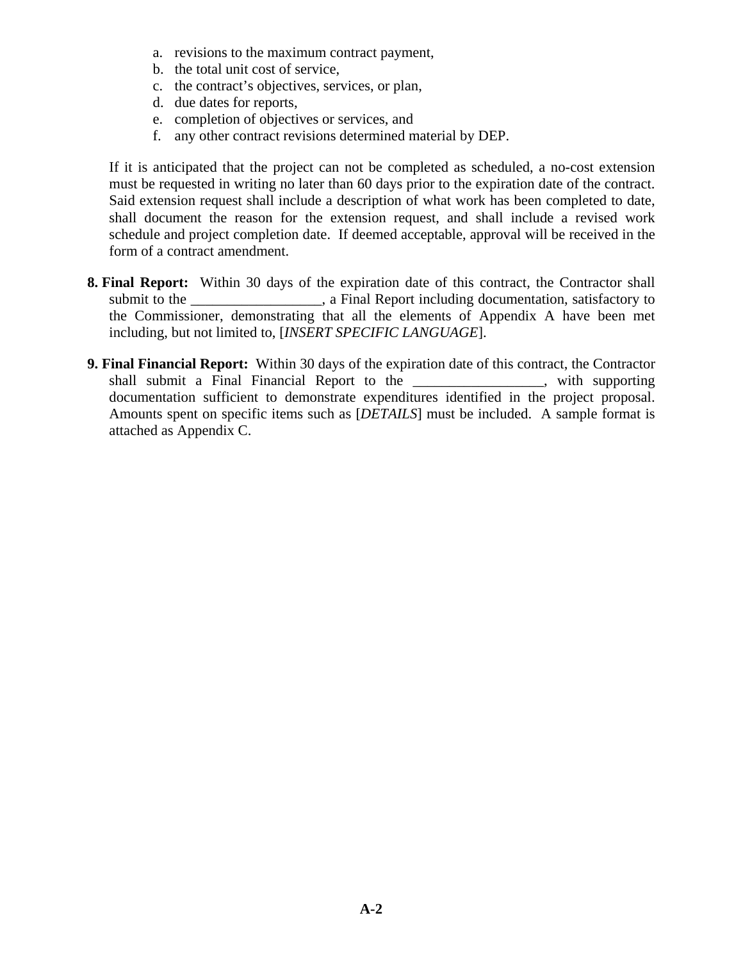- a. revisions to the maximum contract payment,
- b. the total unit cost of service,
- c. the contract's objectives, services, or plan,
- d. due dates for reports,
- e. completion of objectives or services, and
- f. any other contract revisions determined material by DEP.

If it is anticipated that the project can not be completed as scheduled, a no-cost extension must be requested in writing no later than 60 days prior to the expiration date of the contract. Said extension request shall include a description of what work has been completed to date, shall document the reason for the extension request, and shall include a revised work schedule and project completion date. If deemed acceptable, approval will be received in the form of a contract amendment.

- **8. Final Report:** Within 30 days of the expiration date of this contract, the Contractor shall submit to the \_\_\_\_\_\_\_\_\_\_\_\_\_\_\_, a Final Report including documentation, satisfactory to the Commissioner, demonstrating that all the elements of Appendix A have been met including, but not limited to, [*INSERT SPECIFIC LANGUAGE*].
- **9. Final Financial Report:** Within 30 days of the expiration date of this contract, the Contractor shall submit a Final Financial Report to the \_\_\_\_\_\_\_\_\_\_\_\_\_\_\_\_\_\_, with supporting documentation sufficient to demonstrate expenditures identified in the project proposal. Amounts spent on specific items such as [*DETAILS*] must be included. A sample format is attached as Appendix C.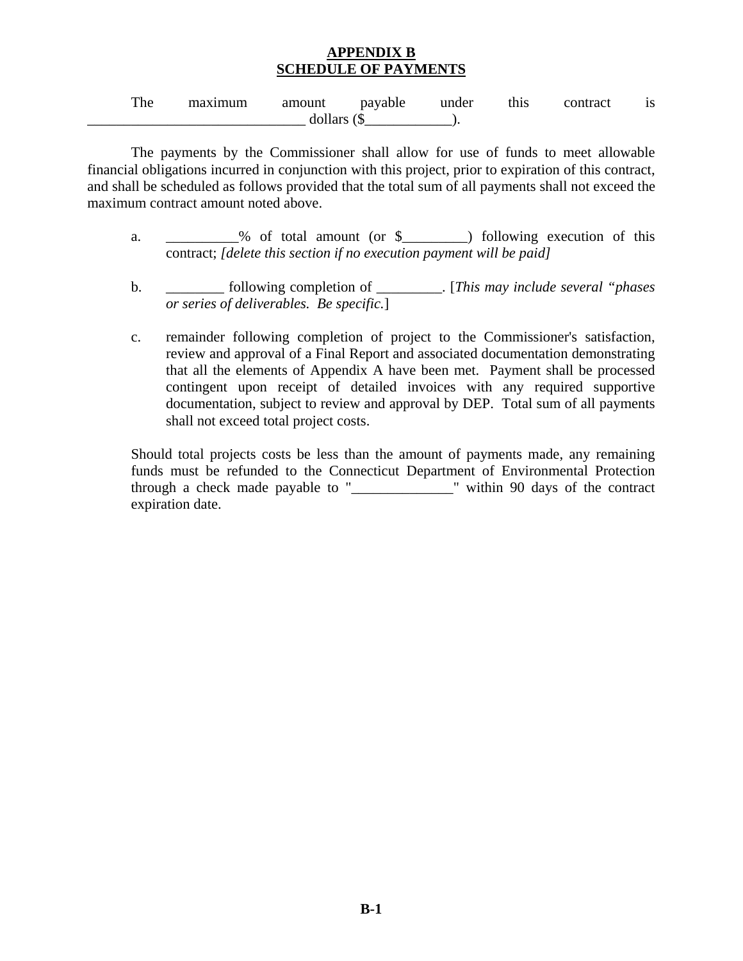# **APPENDIX B SCHEDULE OF PAYMENTS**

| The | maximum | amount  | payable    | under | this | contract | $\sim$ |
|-----|---------|---------|------------|-------|------|----------|--------|
|     |         | dollars | $\sqrt{2}$ |       |      |          |        |

The payments by the Commissioner shall allow for use of funds to meet allowable financial obligations incurred in conjunction with this project, prior to expiration of this contract, and shall be scheduled as follows provided that the total sum of all payments shall not exceed the maximum contract amount noted above.

- a. \_\_\_\_\_\_\_\_\_% of total amount (or \$\_\_\_\_\_\_\_\_\_) following execution of this contract; *[delete this section if no execution payment will be paid]*
- b. \_\_\_\_\_\_\_\_ following completion of \_\_\_\_\_\_\_\_\_. [*This may include several "phases or series of deliverables. Be specific.*]
- c. remainder following completion of project to the Commissioner's satisfaction, review and approval of a Final Report and associated documentation demonstrating that all the elements of Appendix A have been met. Payment shall be processed contingent upon receipt of detailed invoices with any required supportive documentation, subject to review and approval by DEP. Total sum of all payments shall not exceed total project costs.

Should total projects costs be less than the amount of payments made, any remaining funds must be refunded to the Connecticut Department of Environmental Protection through a check made payable to "\_\_\_\_\_\_\_\_\_\_\_\_\_\_" within 90 days of the contract expiration date.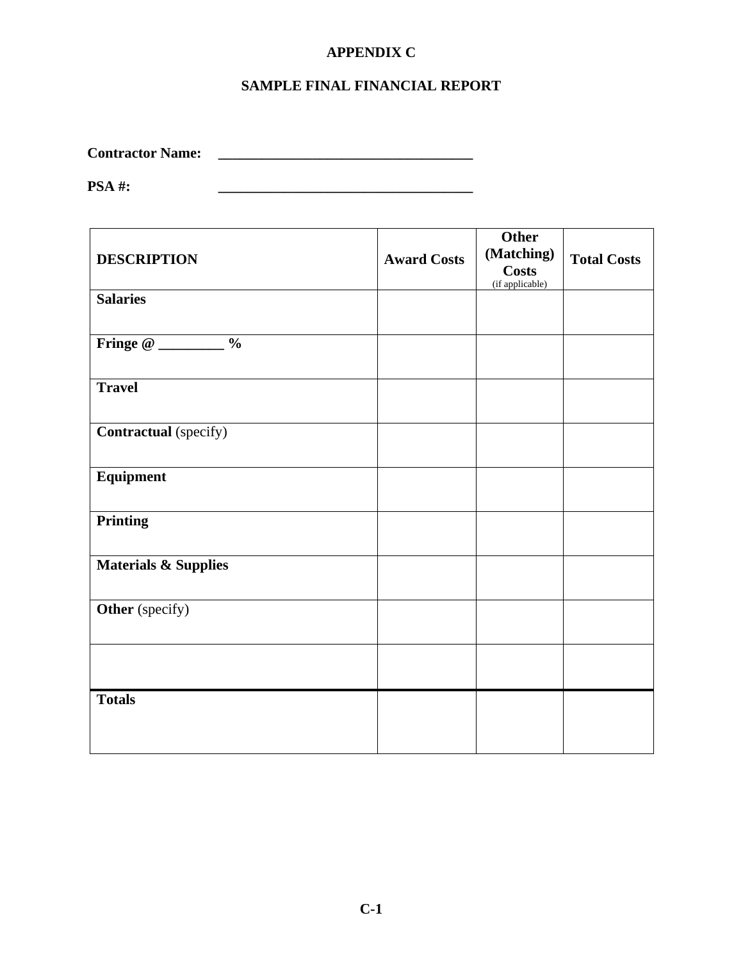# **APPENDIX C**

# **SAMPLE FINAL FINANCIAL REPORT**

**Contractor Name: \_\_\_\_\_\_\_\_\_\_\_\_\_\_\_\_\_\_\_\_\_\_\_\_\_\_\_\_\_\_\_\_\_\_\_** 

**PSA #: \_\_\_\_\_\_\_\_\_\_\_\_\_\_\_\_\_\_\_\_\_\_\_\_\_\_\_\_\_\_\_\_\_\_\_** 

| <b>DESCRIPTION</b>              | <b>Award Costs</b> | <b>Other</b><br>(Matching)<br><b>Costs</b><br>(if applicable) | <b>Total Costs</b> |
|---------------------------------|--------------------|---------------------------------------------------------------|--------------------|
| <b>Salaries</b>                 |                    |                                                               |                    |
|                                 |                    |                                                               |                    |
| <b>Travel</b>                   |                    |                                                               |                    |
| <b>Contractual</b> (specify)    |                    |                                                               |                    |
| Equipment                       |                    |                                                               |                    |
| <b>Printing</b>                 |                    |                                                               |                    |
| <b>Materials &amp; Supplies</b> |                    |                                                               |                    |
| Other (specify)                 |                    |                                                               |                    |
|                                 |                    |                                                               |                    |
| <b>Totals</b>                   |                    |                                                               |                    |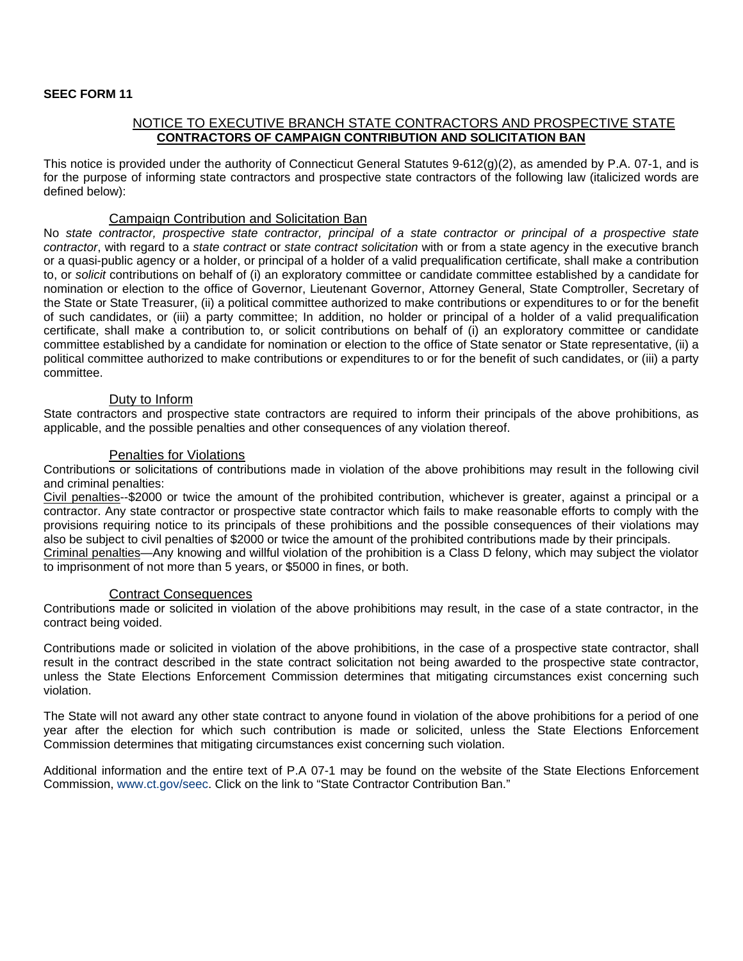### **SEEC FORM 11**

### NOTICE TO EXECUTIVE BRANCH STATE CONTRACTORS AND PROSPECTIVE STATE **CONTRACTORS OF CAMPAIGN CONTRIBUTION AND SOLICITATION BAN**

This notice is provided under the authority of Connecticut General Statutes 9-612(g)(2), as amended by P.A. 07-1, and is for the purpose of informing state contractors and prospective state contractors of the following law (italicized words are defined below):

### Campaign Contribution and Solicitation Ban

No *state contractor, prospective state contractor, principal of a state contractor or principal of a prospective state contractor*, with regard to a *state contract* or *state contract solicitation* with or from a state agency in the executive branch or a quasi-public agency or a holder, or principal of a holder of a valid prequalification certificate, shall make a contribution to, or *solicit* contributions on behalf of (i) an exploratory committee or candidate committee established by a candidate for nomination or election to the office of Governor, Lieutenant Governor, Attorney General, State Comptroller, Secretary of the State or State Treasurer, (ii) a political committee authorized to make contributions or expenditures to or for the benefit of such candidates, or (iii) a party committee; In addition, no holder or principal of a holder of a valid prequalification certificate, shall make a contribution to, or solicit contributions on behalf of (i) an exploratory committee or candidate committee established by a candidate for nomination or election to the office of State senator or State representative, (ii) a political committee authorized to make contributions or expenditures to or for the benefit of such candidates, or (iii) a party committee.

### Duty to Inform

State contractors and prospective state contractors are required to inform their principals of the above prohibitions, as applicable, and the possible penalties and other consequences of any violation thereof.

### Penalties for Violations

Contributions or solicitations of contributions made in violation of the above prohibitions may result in the following civil and criminal penalties:

Civil penalties--\$2000 or twice the amount of the prohibited contribution, whichever is greater, against a principal or a contractor. Any state contractor or prospective state contractor which fails to make reasonable efforts to comply with the provisions requiring notice to its principals of these prohibitions and the possible consequences of their violations may also be subject to civil penalties of \$2000 or twice the amount of the prohibited contributions made by their principals. Criminal penalties—Any knowing and willful violation of the prohibition is a Class D felony, which may subject the violator to imprisonment of not more than 5 years, or \$5000 in fines, or both.

### Contract Consequences

Contributions made or solicited in violation of the above prohibitions may result, in the case of a state contractor, in the contract being voided.

Contributions made or solicited in violation of the above prohibitions, in the case of a prospective state contractor, shall result in the contract described in the state contract solicitation not being awarded to the prospective state contractor, unless the State Elections Enforcement Commission determines that mitigating circumstances exist concerning such violation.

The State will not award any other state contract to anyone found in violation of the above prohibitions for a period of one year after the election for which such contribution is made or solicited, unless the State Elections Enforcement Commission determines that mitigating circumstances exist concerning such violation.

Additional information and the entire text of P.A 07-1 may be found on the website of the State Elections Enforcement Commission, www.ct.gov/seec. Click on the link to "State Contractor Contribution Ban."